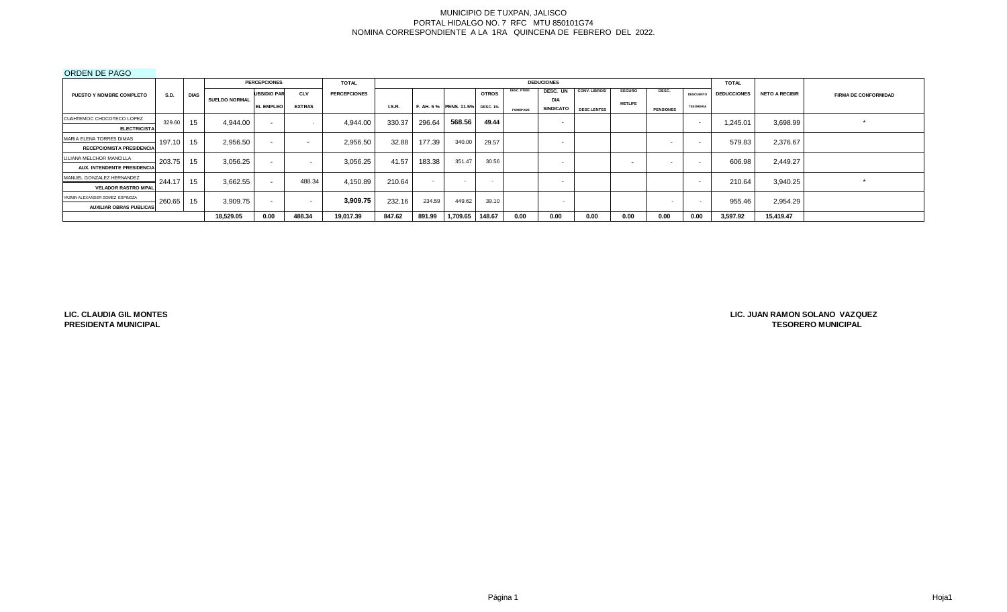# ORDEN DE PAGO

|                                  |        |             |                      | <b>PERCEPCIONES</b> |               | <b>TOTAL</b>        |               |        |                                |              |                 | <b>DEDUCIONES</b>        |                    |                |                  |                          | <b>TOTAL</b>       |                       |                             |
|----------------------------------|--------|-------------|----------------------|---------------------|---------------|---------------------|---------------|--------|--------------------------------|--------------|-----------------|--------------------------|--------------------|----------------|------------------|--------------------------|--------------------|-----------------------|-----------------------------|
| <b>PUESTO Y NOMBRE COMPLETO</b>  | S.D.   | <b>DIAS</b> |                      | <b>UBSIDIO PAR</b>  | <b>CLV</b>    | <b>PERCEPCIONES</b> |               |        |                                | <b>OTROS</b> | DESC. PTMO.     | DESC. UN                 | CONV. LIBROS/      | <b>SEGURO</b>  | DESC.            | <b>DESCUENTO</b>         | <b>DEDUCCIONES</b> | <b>NETO A RECIBIR</b> | <b>FIRMA DE CONFORMIDAD</b> |
|                                  |        |             | <b>SUELDO NORMAL</b> | <b>EL EMPLEO</b>    | <b>EXTRAS</b> |                     | <b>I.S.R.</b> |        | F. AH. 5% PENS. 11.5% DESC. 1% |              |                 | <b>DIA</b>               |                    | <b>METLIFE</b> |                  | <b>TESORERIA</b>         |                    |                       |                             |
|                                  |        |             |                      |                     |               |                     |               |        |                                |              | <b>FOMEPADE</b> | <b>SINDICATO</b>         | <b>DESC LENTES</b> |                | <b>PENSIONES</b> |                          |                    |                       |                             |
| CUAHTEMOC CHOCOTECO LOPEZ        | 329.60 | 15          | 4.944.00             | $\sim$              |               | 4.944.00            | 330.37        | 296.64 | 568.56                         | 49.44        |                 | $\overline{\phantom{0}}$ |                    |                |                  | $\sim$                   | .245.01            | 3,698.99              |                             |
| <b>ELECTRICISTA</b>              |        |             |                      |                     |               |                     |               |        |                                |              |                 |                          |                    |                |                  |                          |                    |                       |                             |
| MARIA ELENA TORRES DIMAS         | 197.10 | 15          | 2,956.50             | $\sim$              | $\sim$        | 2,956.50            | 32.88         | 177.39 | 340.00                         | 29.57        |                 | $\overline{\phantom{0}}$ |                    |                |                  | $\sim$                   | 579.83             | 2,376.67              |                             |
| <b>RECEPCIONISTA PRESIDENCIA</b> |        |             |                      |                     |               |                     |               |        |                                |              |                 |                          |                    |                |                  |                          |                    |                       |                             |
| LILIANA MELCHOR MANCILLA         | 203.75 | 15          | 3,056.25             | $\sim$              | $\sim$        | 3,056.25            | 41.57         | 183.38 | 351.47                         | 30.56        |                 | $\overline{\phantom{0}}$ |                    |                |                  | $\sim$                   | 606.98             | 2.449.27              |                             |
| AUX. INTENDENTE PRESIDENCIA      |        |             |                      |                     |               |                     |               |        |                                |              |                 |                          |                    |                |                  |                          |                    |                       |                             |
| MANUEL GONZALEZ HERNANDEZ        | 244.17 | 15          | 3.662.55             | $\sim$              | 488.34        | 4.150.89            | 210.64        |        |                                | $\sim$       |                 | $\overline{\phantom{0}}$ |                    |                |                  | $\overline{\phantom{a}}$ | 210.64             | 3.940.25              |                             |
| <b>VELADOR RASTRO MPAL</b>       |        |             |                      |                     |               |                     |               |        |                                |              |                 |                          |                    |                |                  |                          |                    |                       |                             |
| YAZMIN ALEXANDER GOMEZ ESPINOZA  | 260.65 | 15          | 3,909.75             | $\blacksquare$      | $\sim$        | 3,909.75            | 232.16        | 234.59 | 449.62                         | 39.10        |                 | . .                      |                    |                | . .              |                          | 955.46             | 2,954.29              |                             |
| <b>AUXILIAR OBRAS PUBLICAS</b>   |        |             |                      |                     |               |                     |               |        |                                |              |                 |                          |                    |                |                  |                          |                    |                       |                             |
|                                  |        |             | 18,529.05            | 0.00                | 488.34        | 19.017.39           | 847.62        | 891.99 | 1,709.65                       | 148.67       | 0.00            | 0.00                     | 0.00               | 0.00           | 0.00             | 0.00                     | 3,597.92           | 15,419.47             |                             |

**LIC. CLAUDIA GIL MONTES PRESIDENTA MUNICIPAL**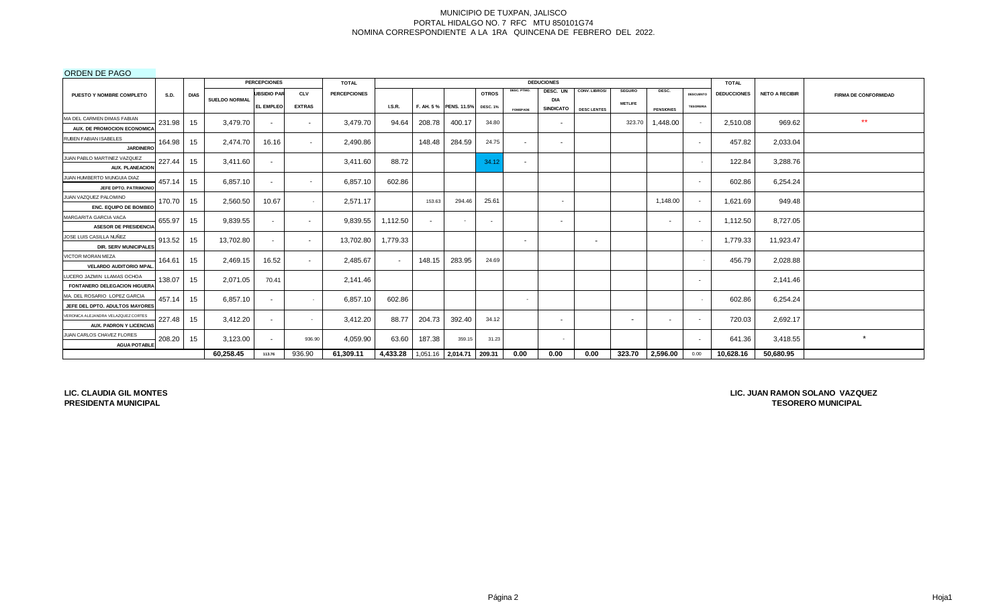# ORDEN DE PAGO

|                                     |             |             |                      | <b>PERCEPCIONES</b> |                          | <b>TOTAL</b>        |                                   |        |                        |                 |                 | <b>DEDUCIONES</b>        |                          |                          |                          |                          | <b>TOTAL</b>       |                       |                             |
|-------------------------------------|-------------|-------------|----------------------|---------------------|--------------------------|---------------------|-----------------------------------|--------|------------------------|-----------------|-----------------|--------------------------|--------------------------|--------------------------|--------------------------|--------------------------|--------------------|-----------------------|-----------------------------|
| PUESTO Y NOMBRE COMPLETO            | <b>S.D.</b> | <b>DIAS</b> |                      | <b>UBSIDIO PAR</b>  | <b>CLV</b>               | <b>PERCEPCIONES</b> |                                   |        |                        | <b>OTROS</b>    | DESC. PTMO.     | DESC. UN                 | CONV. LIBROS/            | <b>SEGURO</b>            | DESC.                    | <b>DESCUENTO</b>         | <b>DEDUCCIONES</b> | <b>NETO A RECIBIR</b> | <b>FIRMA DE CONFORMIDAD</b> |
|                                     |             |             | <b>SUELDO NORMAL</b> | <b>EL EMPLEO</b>    | <b>EXTRAS</b>            |                     | LS.R.                             |        | F. AH. 5 % PENS. 11.5% | <b>DESC. 1%</b> |                 | DIA<br><b>SINDICATO</b>  |                          | <b>METLIFE</b>           |                          | <b>TESORERIA</b>         |                    |                       |                             |
| MA DEL CARMEN DIMAS FABIAN          |             |             |                      |                     |                          |                     |                                   |        |                        |                 | <b>FOMEPADE</b> |                          | <b>DESC LENTES</b>       |                          | <b>PENSIONES</b>         |                          |                    |                       |                             |
| AUX. DE PROMOCION ECONOMICA         | 231.98      | 15          | 3,479.70             | $\sim$              | $\sim$                   | 3,479.70            | 94.64                             | 208.78 | 400.17                 | 34.80           |                 | $\sim$                   |                          | 323.70                   | 1,448.00                 | $\sim$                   | 2,510.08           | 969.62                | $***$                       |
| RUBEN FABIAN ISABELES               |             |             |                      |                     |                          |                     |                                   |        |                        |                 |                 |                          |                          |                          |                          |                          |                    |                       |                             |
| <b>JARDINERO</b>                    | 164.98      | 15          | 2,474.70             | 16.16               | $\overline{\phantom{a}}$ | 2,490.86            |                                   | 148.48 | 284.59                 | 24.75           | $\sim$          | $\sim$                   |                          |                          |                          | $\overline{\phantom{0}}$ | 457.82             | 2,033.04              |                             |
| JUAN PABLO MARTINEZ VAZQUEZ         |             |             |                      |                     |                          |                     |                                   |        |                        |                 |                 |                          |                          |                          |                          |                          |                    |                       |                             |
| <b>AUX. PLANEACION</b>              | 227.44      | 15          | 3.411.60             | $\sim$              |                          | 3,411.60            | 88.72                             |        |                        | 34.12           | $\sim$          |                          |                          |                          |                          |                          | 122.84             | 3,288.76              |                             |
| JUAN HUMBERTO MUNGUIA DIAZ          |             |             |                      |                     |                          |                     |                                   |        |                        |                 |                 |                          |                          |                          |                          |                          |                    |                       |                             |
| JEFE DPTO. PATRIMONIC               | 457.14      | 15          | 6,857.10             | $\sim$              | $\sim$                   | 6,857.10            | 602.86                            |        |                        |                 |                 |                          |                          |                          |                          | $\sim$                   | 602.86             | 6,254.24              |                             |
| JUAN VAZQUEZ PALOMINO               |             |             |                      |                     |                          |                     |                                   | 153.63 | 294.46                 |                 |                 |                          |                          |                          |                          |                          |                    |                       |                             |
| <b>ENC. EQUIPO DE BOMBEO</b>        | 170.70      | 15          | 2,560.50             | 10.67               |                          | 2,571.17            |                                   |        |                        | 25.61           |                 | $\overline{\phantom{a}}$ |                          |                          | 1,148.00                 | $\overline{\phantom{a}}$ | 1,621.69           | 949.48                |                             |
| MARGARITA GARCIA VACA               | 655.97      | 15          | 9,839.55             | $\sim$              | $\sim$                   | 9,839.55            | 1,112.50                          | $\sim$ |                        | $\sim$          |                 | $\sim$                   |                          |                          | $\sim$                   | $\overline{\phantom{a}}$ | 1,112.50           | 8,727.05              |                             |
| <b>ASESOR DE PRESIDENCIA</b>        |             |             |                      |                     |                          |                     |                                   |        |                        |                 |                 |                          |                          |                          |                          |                          |                    |                       |                             |
| JOSE LUIS CASILLA NUÑEZ             | 913.52      | 15          | 13,702.80            | $\sim$              | $\sim$                   | 13,702.80           | 1,779.33                          |        |                        |                 | $\sim$          |                          | $\overline{\phantom{a}}$ |                          |                          |                          | 1,779.33           | 11,923.47             |                             |
| <b>DIR. SERV MUNICIPALES</b>        |             |             |                      |                     |                          |                     |                                   |        |                        |                 |                 |                          |                          |                          |                          |                          |                    |                       |                             |
| VICTOR MORAN MEZA                   | 164.61      | 15          | 2,469.15             | 16.52               | $\overline{\phantom{a}}$ | 2,485.67            | $\sim$                            | 148.15 | 283.95                 | 24.69           |                 |                          |                          |                          |                          |                          | 456.79             | 2,028.88              |                             |
| <b>VELARDO AUDITORIO MPAL</b>       |             |             |                      |                     |                          |                     |                                   |        |                        |                 |                 |                          |                          |                          |                          |                          |                    |                       |                             |
| LUCERO JAZMIN LLAMAS OCHOA          | 138.07      | 15          | 2,071.05             | 70.41               |                          | 2,141.46            |                                   |        |                        |                 |                 |                          |                          |                          |                          | $\overline{\phantom{0}}$ |                    | 2,141.46              |                             |
| FONTANERO DELEGACION HIGUERA        |             |             |                      |                     |                          |                     |                                   |        |                        |                 |                 |                          |                          |                          |                          |                          |                    |                       |                             |
| MA. DEL ROSARIO LOPEZ GARCIA        | 457.14      | 15          | 6.857.10             | $\sim$              |                          | 6,857.10            | 602.86                            |        |                        |                 | $\sim$          |                          |                          |                          |                          |                          | 602.86             | 6,254.24              |                             |
| JEFE DEL DPTO. ADULTOS MAYORES      |             |             |                      |                     |                          |                     |                                   |        |                        |                 |                 |                          |                          |                          |                          |                          |                    |                       |                             |
| VERONICA ALEJANDRA VELAZQUEZ CORTES | 227.48      | 15          | 3,412.20             | $\sim$              | $\sim$                   | 3,412.20            | 88.77                             | 204.73 | 392.40                 | 34.12           |                 | $\sim$                   |                          | $\overline{\phantom{a}}$ | $\overline{\phantom{0}}$ | $\sim$                   | 720.03             | 2,692.17              |                             |
| AUX. PADRON Y LICENCIAS             |             |             |                      |                     |                          |                     |                                   |        |                        |                 |                 |                          |                          |                          |                          |                          |                    |                       |                             |
| JUAN CARLOS CHAVEZ FLORES           | 208.20      | 15          | 3,123.00             | $\sim$              | 936.90                   | 4,059.90            | 63.60                             | 187.38 | 359.15                 | 31.23           |                 | $\sim$                   |                          |                          |                          | $\overline{\phantom{0}}$ | 641.36             | 3,418.55              | $\star$                     |
| <b>AGUA POTABLE</b>                 |             |             |                      |                     |                          |                     |                                   |        |                        |                 |                 |                          |                          |                          |                          |                          |                    |                       |                             |
|                                     |             |             | 60.258.45            | 113.76              | 936.90                   | 61,309.11           | 4,433.28 1,051.16 2,014.71 209.31 |        |                        |                 | 0.00            | 0.00                     | 0.00                     | 323.70                   | 2,596.00                 | 0.00                     | 10,628.16          | 50.680.95             |                             |

**LIC. CLAUDIA GIL MONTES PRESIDENTA MUNICIPAL**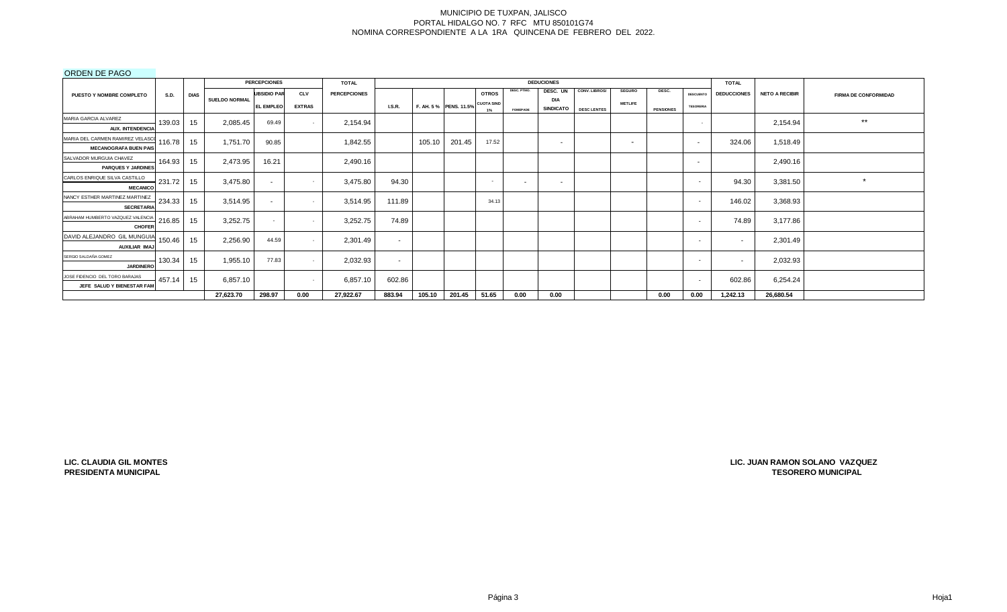# ORDEN DE PAGO

|                                                                  |             |             |                      | <b>PERCEPCIONES</b> |                          | <b>TOTAL</b>        |               |        |                                   |                          |                 | <b>DEDUCIONES</b>              |                    |                |                  |                          | <b>TOTAL</b>             |                       |                             |
|------------------------------------------------------------------|-------------|-------------|----------------------|---------------------|--------------------------|---------------------|---------------|--------|-----------------------------------|--------------------------|-----------------|--------------------------------|--------------------|----------------|------------------|--------------------------|--------------------------|-----------------------|-----------------------------|
| <b>PUESTO Y NOMBRE COMPLETO</b>                                  | <b>S.D.</b> | <b>DIAS</b> |                      | <b>UBSIDIO PAR</b>  | <b>CLV</b>               | <b>PERCEPCIONES</b> |               |        |                                   | <b>OTROS</b>             | DESC. PTMO.     | DESC. UN                       | CONV. LIBROS/      | <b>SEGURO</b>  | DESC.            | <b>DESCUENTO</b>         | <b>DEDUCCIONES</b>       | <b>NETO A RECIBIR</b> | <b>FIRMA DE CONFORMIDAD</b> |
|                                                                  |             |             | <b>SUELDO NORMAL</b> | <b>EL EMPLEO</b>    | <b>EXTRAS</b>            |                     | <b>I.S.R.</b> |        | F. AH. 5 % PENS. 11.5% CUOTA SIND | $1\%$                    | <b>FOMEPADE</b> | <b>DIA</b><br><b>SINDICATO</b> | <b>DESC LENTES</b> | <b>METLIFE</b> | <b>PENSIONES</b> | <b>TESORERIA</b>         |                          |                       |                             |
| MARIA GARCIA ALVAREZ<br><b>AUX. INTENDENCIA</b>                  | 139.03      | 15          | 2,085.45             | 69.49               |                          | 2,154.94            |               |        |                                   |                          |                 |                                |                    |                |                  | $\sim$                   |                          | 2,154.94              | $***$                       |
| MARIA DEL CARMEN RAMIREZ VELASCO<br><b>MECANOGRAFA BUEN PAIS</b> | 116.78      | 15          | 1,751.70             | 90.85               |                          | 1,842.55            |               | 105.10 | 201.45                            | 17.52                    |                 | $\sim$                         |                    | $\,$ $\,$      |                  | $\sim$                   | 324.06                   | 1,518.49              |                             |
| SALVADOR MURGUIA CHAVEZ<br><b>PARQUES Y JARDINES</b>             | 164.93      | 15          | 2,473.95             | 16.21               |                          | 2,490.16            |               |        |                                   |                          |                 |                                |                    |                |                  | $\overline{\phantom{a}}$ |                          | 2,490.16              |                             |
| CARLOS ENRIQUE SILVA CASTILLO<br><b>MECANICO</b>                 | 231.72      | 15          | 3,475.80             | $\sim$              |                          | 3,475.80            | 94.30         |        |                                   | $\overline{\phantom{a}}$ | $\sim$          | $\sim$                         |                    |                |                  | $\sim$                   | 94.30                    | 3,381.50              | $\star$                     |
| NANCY ESTHER MARTINEZ MARTINEZ<br><b>SECRETARIA</b>              | 234.33      | 15          | 3,514.95             | $\sim$              | $\sim$                   | 3,514.95            | 111.89        |        |                                   | 34.13                    |                 |                                |                    |                |                  | $\sim$                   | 146.02                   | 3,368.93              |                             |
| ABRAHAM HUMBERTO VAZQUEZ VALENCIA<br><b>CHOFER</b>               | 216.85      | 15          | 3,252.75             | $\sim$              | $\sim$                   | 3,252.75            | 74.89         |        |                                   |                          |                 |                                |                    |                |                  | $\sim$                   | 74.89                    | 3,177.86              |                             |
| DAVID ALEJANDRO GIL MUNGUIA<br>AUXILIAR IMAJ                     | 150.46      | 15          | 2,256.90             | 44.59               |                          | 2,301.49            | $\sim$        |        |                                   |                          |                 |                                |                    |                |                  | $\sim$                   |                          | 2,301.49              |                             |
| SERGIO SALDAÑA GOMEZ<br><b>JARDINERC</b>                         | 130.34      | 15          | 1,955.10             | 77.83               |                          | 2,032.93            | $\sim$        |        |                                   |                          |                 |                                |                    |                |                  | $\sim$                   | $\overline{\phantom{a}}$ | 2,032.93              |                             |
| JOSE FIDENCIO DEL TORO BARAJAS<br>JEFE SALUD Y BIENESTAR FAN     | 457.14      | 15          | 6,857.10             |                     | $\overline{\phantom{a}}$ | 6,857.10            | 602.86        |        |                                   |                          |                 |                                |                    |                |                  | $\sim$                   | 602.86                   | 6,254.24              |                             |
|                                                                  |             |             | 27,623.70            | 298.97              | 0.00                     | 27,922.67           | 883.94        | 105.10 | 201.45                            | 51.65                    | 0.00            | 0.00                           |                    |                | 0.00             | 0.00                     | 1,242.13                 | 26,680.54             |                             |

**LIC. CLAUDIA GIL MONTES PRESIDENTA MUNICIPAL**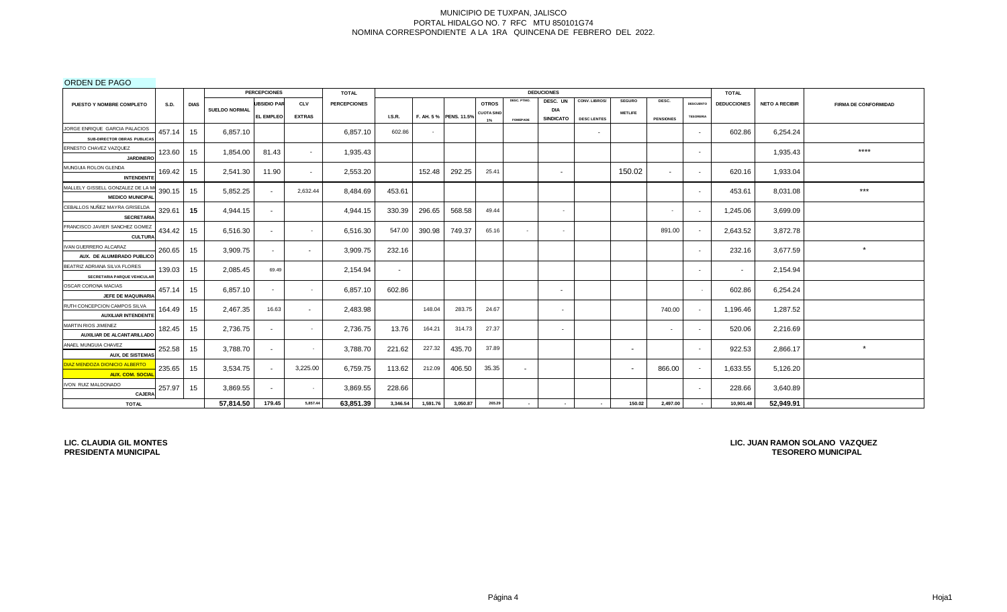ORDEN DE PAGO

|                                                             |             |             |                      | <b>PERCEPCIONES</b> |               | <b>TOTAL</b>        |          |          |                       |                   |                 | <b>DEDUCIONES</b>        |                    |                          |                  |                          | <b>TOTAL</b>       |                       |                             |
|-------------------------------------------------------------|-------------|-------------|----------------------|---------------------|---------------|---------------------|----------|----------|-----------------------|-------------------|-----------------|--------------------------|--------------------|--------------------------|------------------|--------------------------|--------------------|-----------------------|-----------------------------|
| PUESTO Y NOMBRE COMPLETO                                    | <b>S.D.</b> | <b>DIAS</b> |                      | <b>JBSIDIO PAF</b>  | <b>CLV</b>    | <b>PERCEPCIONES</b> |          |          |                       | <b>OTROS</b>      | DESC. PTMO.     | DESC. UN                 | CONV. LIBROS/      | <b>SEGURO</b>            | DESC.            | <b>DESCUENTO</b>         | <b>DEDUCCIONES</b> | <b>NETO A RECIBIR</b> | <b>FIRMA DE CONFORMIDAD</b> |
|                                                             |             |             | <b>SUELDO NORMAL</b> | <b>EL EMPLEO</b>    | <b>EXTRAS</b> |                     | LS.R.    |          | F. AH. 5% PENS. 11.5% | <b>CUOTA SIND</b> |                 | DIA<br><b>SINDICATO</b>  | <b>DESC LENTES</b> | <b>METLIFE</b>           | <b>PENSIONES</b> | <b>TESORERIA</b>         |                    |                       |                             |
| JORGE ENRIQUE GARCIA PALACIOS                               |             |             |                      |                     |               |                     |          |          |                       | 1%                | <b>FOMEPADE</b> |                          |                    |                          |                  |                          |                    |                       |                             |
| SUB-DIRECTOR OBRAS PUBLICAS                                 | 457.14      | 15          | 6,857.10             |                     |               | 6,857.10            | 602.86   | $\sim$   |                       |                   |                 |                          | $\sim$             |                          |                  | $\sim$                   | 602.86             | 6,254.24              |                             |
| ERNESTO CHAVEZ VAZQUEZ                                      | 123.60      | 15          | 1,854.00             | 81.43               | $\sim$        | 1,935.43            |          |          |                       |                   |                 |                          |                    |                          |                  | $\sim$                   |                    | 1,935.43              | $****$                      |
| <b>JARDINERO</b>                                            |             |             |                      |                     |               |                     |          |          |                       |                   |                 |                          |                    |                          |                  |                          |                    |                       |                             |
| MUNGUIA ROLON GLENDA<br><b>INTENDENTE</b>                   | 169.42      | 15          | 2,541.30             | 11.90               | $\sim$        | 2,553.20            |          | 152.48   | 292.25                | 25.41             |                 | $\sim$                   |                    | 150.02                   | $\sim$           | $\sim$                   | 620.16             | 1,933.04              |                             |
| MALLELY GISSELL GONZALEZ DE LA M                            |             |             |                      |                     |               |                     |          |          |                       |                   |                 |                          |                    |                          |                  |                          |                    |                       | $***$                       |
| <b>MEDICO MUNICIPAL</b>                                     | 390.15      | 15          | 5,852.25             | $\sim$              | 2,632.44      | 8,484.69            | 453.61   |          |                       |                   |                 |                          |                    |                          |                  | $\sim$                   | 453.61             | 8,031.08              |                             |
| CEBALLOS NUÑEZ MAYRA GRISELDA<br><b>SECRETARIA</b>          | 329.61      | 15          | 4,944.15             | $\sim$              |               | 4,944.15            | 330.39   | 296.65   | 568.58                | 49.44             |                 | $\sim$                   |                    |                          | $\sim$           | $\overline{\phantom{a}}$ | 1,245.06           | 3,699.09              |                             |
| FRANCISCO JAVIER SANCHEZ GOMEZ<br><b>CULTURA</b>            | 434.42      | 15          | 6,516.30             | $\sim$              | $\sim$        | 6,516.30            | 547.00   | 390.98   | 749.37                | 65.16             | $\sim$          | $\sim$                   |                    |                          | 891.00           |                          | 2,643.52           | 3,872.78              |                             |
| IVAN GUERRERO ALCARAZ                                       | 260.65      | 15          | 3,909.75             | $\sim$              | $\sim$        | 3,909.75            | 232.16   |          |                       |                   |                 |                          |                    |                          |                  | $\sim$                   | 232.16             | 3,677.59              | $\star$                     |
| AUX. DE ALUMBRADO PUBLICO                                   |             |             |                      |                     |               |                     |          |          |                       |                   |                 |                          |                    |                          |                  |                          |                    |                       |                             |
| BEATRIZ ADRIANA SILVA FLORES<br>SECRETARIA PARQUE VEHICULAR | 139.03      | 15          | 2,085.45             | 69.49               |               | 2,154.94            | $\sim$   |          |                       |                   |                 |                          |                    |                          |                  | $\overline{\phantom{0}}$ | $\sim$             | 2,154.94              |                             |
| OSCAR CORONA MACIAS                                         | 457.14      | 15          | 6,857.10             | $\sim$              | $\sim$        | 6,857.10            | 602.86   |          |                       |                   |                 | $\sim$                   |                    |                          |                  | $\sim$                   | 602.86             | 6,254.24              |                             |
| JEFE DE MAQUINARIA                                          |             |             |                      |                     |               |                     |          |          |                       |                   |                 |                          |                    |                          |                  |                          |                    |                       |                             |
| RUTH CONCEPCION CAMPOS SILVA<br><b>AUXILIAR INTENDENTE</b>  | 164.49      | 15          | 2,467.35             | 16.63               | $\sim$        | 2,483.98            |          | 148.04   | 283.75                | 24.67             |                 | $\overline{\phantom{a}}$ |                    |                          | 740.00           |                          | 1,196.46           | 1,287.52              |                             |
| MARTIN RIOS JIMENEZ                                         |             |             |                      |                     |               |                     |          | 164.21   | 314.73                | 27.37             |                 |                          |                    |                          |                  |                          |                    |                       |                             |
| AUXILIAR DE ALCANTARILLADO                                  | 182.45      | 15          | 2,736.75             | $\sim$              | $\sim$        | 2,736.75            | 13.76    |          |                       |                   |                 | $\overline{\phantom{a}}$ |                    |                          | $\sim$           | $\overline{\phantom{0}}$ | 520.06             | 2,216.69              |                             |
| ANAEL MUNGUIA CHAVEZ                                        | 252.58      | 15          | 3,788.70             | $\sim$              | $\sim$        | 3,788.70            | 221.62   | 227.32   | 435.70                | 37.89             |                 |                          |                    | $\overline{\phantom{a}}$ |                  | $\overline{\phantom{a}}$ | 922.53             | 2,866.17              | $\star$                     |
| <b>AUX, DE SISTEMAS</b>                                     |             |             |                      |                     |               |                     |          |          |                       |                   |                 |                          |                    |                          |                  |                          |                    |                       |                             |
| DIAZ MENDOZA DIONICIO ALBERTO<br><b>AUX. COM. SOCIAL</b>    | 235.65      | 15          | 3,534.75             | $\sim$              | 3,225.00      | 6,759.75            | 113.62   | 212.09   | 406.50                | 35.35             | $\sim$          |                          |                    | $\overline{\phantom{a}}$ | 866.00           |                          | 1,633.55           | 5,126.20              |                             |
| IVON RUIZ MALDONADO<br><b>CAJERA</b>                        | 257.97      | 15          | 3,869.55             | $\sim$              | $\sim$        | 3,869.55            | 228.66   |          |                       |                   |                 |                          |                    |                          |                  | $\overline{\phantom{a}}$ | 228.66             | 3,640.89              |                             |
| <b>TOTAL</b>                                                |             |             | 57,814.50            | 179.45              | 5,857.44      | 63,851.39           | 3,346.54 | 1,591.76 | 3,050.87              | 265.29            |                 |                          |                    | 150.02                   | 2,497.00         |                          | 10,901.48          | 52,949.91             |                             |

**LIC. CLAUDIA GIL MONTES PRESIDENTA MUNICIPAL**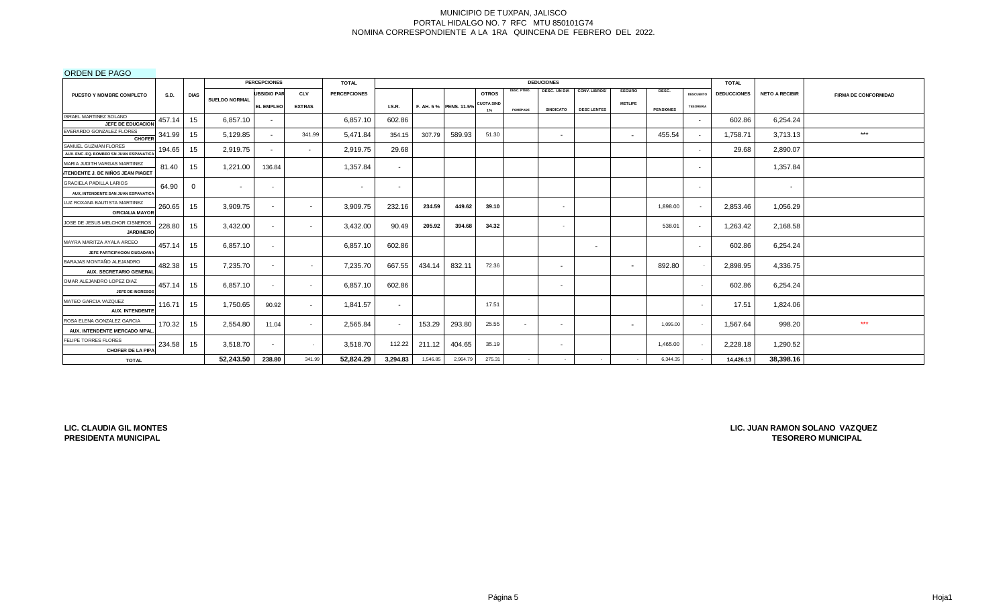# ORDEN DE PAGO

|                                                                            |             |             |                      | <b>PERCEPCIONES</b> |               | <b>TOTAL</b>        |                          |          |                       |                   |                 | <b>DEDUCIONES</b>        |                          |                          |                  |                          | <b>TOTAL</b>       |                       |                             |
|----------------------------------------------------------------------------|-------------|-------------|----------------------|---------------------|---------------|---------------------|--------------------------|----------|-----------------------|-------------------|-----------------|--------------------------|--------------------------|--------------------------|------------------|--------------------------|--------------------|-----------------------|-----------------------------|
| PUESTO Y NOMBRE COMPLETO                                                   | <b>S.D.</b> | <b>DIAS</b> |                      | <b>UBSIDIO PAR</b>  | <b>CLV</b>    | <b>PERCEPCIONES</b> |                          |          |                       | <b>OTROS</b>      | DESC. PTMO.     | <b>DESC. UN DIA</b>      | CONV. LIBROS/            | <b>SEGURO</b>            | DESC.            | <b>DESCUENTO</b>         | <b>DEDUCCIONES</b> | <b>NETO A RECIBIR</b> | <b>FIRMA DE CONFORMIDAD</b> |
|                                                                            |             |             | <b>SUELDO NORMAL</b> | <b>EL EMPLEO</b>    | <b>EXTRAS</b> |                     | <b>I.S.R.</b>            |          | F. AH. 5% PENS. 11.5% | <b>CUOTA SIND</b> | <b>FOMEPADE</b> | <b>SINDICATO</b>         | <b>DESC LENTES</b>       | <b>METLIFE</b>           | <b>PENSIONES</b> | <b>TESORERIA</b>         |                    |                       |                             |
| ISRAEL MARTINEZ SOLANO<br>JEFE DE EDUCACION                                | 457.14      | 15          | 6,857.10             | $\sim$              |               | 6,857.10            | 602.86                   |          |                       |                   |                 |                          |                          |                          |                  | $\overline{\phantom{0}}$ | 602.86             | 6,254.24              |                             |
| EVERARDO GONZALEZ FLORES<br><b>CHOFER</b>                                  | 341.99      | 15          | 5,129.85             |                     | 341.99        | 5,471.84            | 354.15                   | 307.79   | 589.93                | 51.30             |                 | . .                      |                          | $\overline{\phantom{0}}$ | 455.54           |                          | 1,758.71           | 3,713.13              | $***$                       |
| SAMUEL GUZMAN FLORES<br>AUX. ENC. EQ. BOMBEO SN JUAN ESPANATICA            | 194.65      | 15          | 2,919.75             | $\sim$              | $\sim$        | 2,919.75            | 29.68                    |          |                       |                   |                 |                          |                          |                          |                  |                          | 29.68              | 2,890.07              |                             |
| MARIA JUDITH VARGAS MARTINEZ                                               | 81.40       | 15          | 1,221.00             | 136.84              |               | 1,357.84            | $\sim$                   |          |                       |                   |                 |                          |                          |                          |                  | $\overline{\phantom{0}}$ |                    | 1,357.84              |                             |
| <b>ITENDENTE J. DE NIÑOS JEAN PIAGET</b><br><b>GRACIELA PADILLA LARIOS</b> |             |             |                      |                     |               |                     |                          |          |                       |                   |                 |                          |                          |                          |                  |                          |                    |                       |                             |
| AUX, INTENDENTE SAN JUAN ESPANATICA                                        | 64.90       | 0           | $\sim$               | $\sim$              |               | $\sim$              | $\overline{\phantom{a}}$ |          |                       |                   |                 |                          |                          |                          |                  | $\overline{\phantom{0}}$ |                    | $\sim$                |                             |
| LUZ ROXANA BAUTISTA MARTINEZ<br><b>OFICIALIA MAYOR</b>                     | 260.65      | 15          | 3,909.75             | $\sim$              | $\sim$        | 3,909.75            | 232.16                   | 234.59   | 449.62                | 39.10             |                 | $\sim$                   |                          |                          | 1,898.00         |                          | 2,853.46           | 1,056.29              |                             |
| JOSE DE JESUS MELCHOR CISNEROS<br><b>JARDINERO</b>                         | 228.80      | 15          | 3,432.00             | $\sim$              | $\sim$        | 3,432.00            | 90.49                    | 205.92   | 394.68                | 34.32             |                 | $\sim$                   |                          |                          | 538.01           |                          | 1,263.42           | 2,168.58              |                             |
| MAYRA MARITZA AYALA ARCEO<br>JEFE PARTICIPACION CIUDADANA                  | 457.14      | 15          | 6,857.10             | $\sim$              |               | 6,857.10            | 602.86                   |          |                       |                   |                 |                          | $\overline{\phantom{a}}$ |                          |                  |                          | 602.86             | 6,254.24              |                             |
| BARAJAS MONTAÑO ALEJANDRO<br>AUX. SECRETARIO GENERAL                       | 482.38      | 15          | 7,235.70             | $\sim$              | $\sim$        | 7,235.70            | 667.55                   | 434.14   | 832.11                | 72.36             |                 | $\sim$                   |                          | $\overline{\phantom{0}}$ | 892.80           |                          | 2,898.95           | 4,336.75              |                             |
| OMAR ALEJANDRO LOPEZ DIAZ<br>JEFE DE INGRESOS                              | 457.14      | 15          | 6,857.10             | $\sim$              | $\sim$        | 6,857.10            | 602.86                   |          |                       |                   |                 | $\overline{\phantom{a}}$ |                          |                          |                  |                          | 602.86             | 6,254.24              |                             |
| MATEO GARCIA VAZQUEZ<br><b>AUX. INTENDENTE</b>                             | 116.71      | 15          | 1,750.65             | 90.92               | $\sim$        | 1.841.57            | $\sim$                   |          |                       | 17.51             |                 |                          |                          |                          |                  |                          | 17.51              | 1,824.06              |                             |
| ROSA ELENA GONZALEZ GARCIA<br>AUX. INTENDENTE MERCADO MPAL                 | 170.32      | 15          | 2,554.80             | 11.04               | $\sim$        | 2,565.84            |                          | 153.29   | 293.80                | 25.55             | $\sim$          |                          |                          | $\overline{\phantom{a}}$ | 1,095.00         |                          | 1,567.64           | 998.20                | ***                         |
| FELIPE TORRES FLORES<br><b>CHOFER DE LA PIPA</b>                           | 234.58      | 15          | 3,518.70             | $\sim$              | $\sim$        | 3,518.70            | 112.22                   | 211.12   | 404.65                | 35.19             |                 |                          |                          |                          | 1,465.00         |                          | 2,228.18           | 1,290.52              |                             |
| <b>TOTAL</b>                                                               |             |             | 52,243.50            | 238.80              | 341.99        | 52,824.29           | 3,294.83                 | 1,546.85 | 2,964.79              | 275.31            |                 |                          |                          |                          | 6.344.35         |                          | 14,426.13          | 38,398.16             |                             |

**LIC. CLAUDIA GIL MONTES PRESIDENTA MUNICIPAL**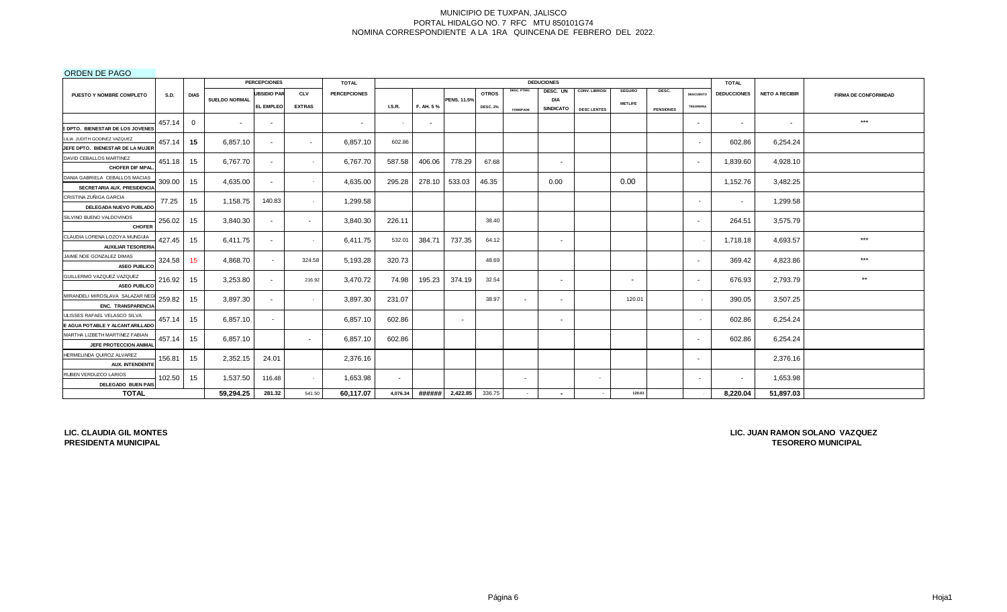# ORDEN DE PAGO

|                                                 |        |             |                      | <b>PERCEPCIONES</b> |                 | <b>TOTAL</b>        |                          |           |                    |                 |                          | <b>DEDUCIONES</b>        |                    |                          |                  |                          | <b>TOTAL</b>       |                       |                             |
|-------------------------------------------------|--------|-------------|----------------------|---------------------|-----------------|---------------------|--------------------------|-----------|--------------------|-----------------|--------------------------|--------------------------|--------------------|--------------------------|------------------|--------------------------|--------------------|-----------------------|-----------------------------|
| PUESTO Y NOMBRE COMPLETO                        | S.D.   | <b>DIAS</b> |                      | <b>UBSIDIO PAR</b>  | <b>CLV</b>      | <b>PERCEPCIONES</b> |                          |           |                    | <b>OTROS</b>    | DESC. PTMO.              | DESC. UN                 | CONV. LIBROS/      | <b>SEGURO</b>            | DESC.            | <b>DESCUENTO</b>         | <b>DEDUCCIONES</b> | <b>NETO A RECIBIR</b> | <b>FIRMA DE CONFORMIDAD</b> |
|                                                 |        |             | <b>SUELDO NORMAL</b> | EL EMPLEO           | <b>EXTRAS</b>   |                     | <b>I.S.R.</b>            | F. AH. 5% | <b>PENS. 11.5%</b> | <b>DESC. 2%</b> |                          | DIA<br><b>SINDICATO</b>  | <b>DESC LENTES</b> | <b>METLIFE</b>           | <b>PENSIONES</b> | <b>TESORERIA</b>         |                    |                       |                             |
|                                                 |        |             |                      |                     |                 |                     |                          |           |                    |                 | <b>FOMEPADE</b>          |                          |                    |                          |                  |                          |                    |                       |                             |
| DPTO. BIENESTAR DE LOS JOVENES                  | 457.14 | $\Omega$    | $\overline{a}$       | $\sim$              |                 | $\sim$              | $\sim$                   | $\sim$    |                    |                 |                          |                          |                    |                          |                  | $\sim$                   | $\sim$             | $\sim$                | ***                         |
| LILIA JUDITH GODINEZ VAZQUEZ                    |        |             |                      |                     |                 |                     |                          |           |                    |                 |                          |                          |                    |                          |                  |                          |                    |                       |                             |
| JEFE DPTO. BIENESTAR DE LA MUJER                | 457.14 | 15          | 6.857.10             |                     | $\sim$          | 6,857.10            | 602.86                   |           |                    |                 |                          |                          |                    |                          |                  | $\overline{\phantom{a}}$ | 602.86             | 6,254.24              |                             |
| DAVID CEBALLOS MARTINEZ                         |        |             |                      |                     |                 |                     |                          |           |                    |                 |                          |                          |                    |                          |                  |                          |                    |                       |                             |
| <b>CHOFER DIF MPAL</b>                          | 451.18 | 15          | 6,767.70             | $\sim$              | $\sim$          | 6,767.70            | 587.58                   | 406.06    | 778.29             | 67.68           |                          | $\overline{\phantom{a}}$ |                    |                          |                  | $\sim$                   | 1,839.60           | 4,928.10              |                             |
| DANIA GABRIELA CEBALLOS MACIAS                  | 309.00 | 15          | 4,635.00             | $\sim$              | $\sim$          | 4,635.00            | 295.28                   | 278.10    | 533.03             | 46.35           |                          | 0.00                     |                    | 0.00                     |                  |                          | 1,152.76           | 3,482.25              |                             |
| SECRETARIA AUX. PRESIDENCIA                     |        |             |                      |                     |                 |                     |                          |           |                    |                 |                          |                          |                    |                          |                  |                          |                    |                       |                             |
| CRISTINA ZUÑIGA GARCIA                          | 77.25  | 15          | 1,158.75             | 140.83              | $\sim$ 10 $\pm$ | 1,299.58            |                          |           |                    |                 |                          |                          |                    |                          |                  | $\overline{\phantom{a}}$ | $\sim$             | 1,299.58              |                             |
| DELEGADA NUEVO PUBLADO                          |        |             |                      |                     |                 |                     |                          |           |                    |                 |                          |                          |                    |                          |                  |                          |                    |                       |                             |
| SILVINO BUENO VALDOVINOS<br><b>CHOFER</b>       | 256.02 | 15          | 3,840.30             |                     | $\sim$          | 3,840.30            | 226.11                   |           |                    | 38.40           |                          |                          |                    |                          |                  | $\sim$                   | 264.51             | 3,575.79              |                             |
| CLAUDIA LORENA LOZOYA MUNGUIA                   | 427.45 | 15          | 6,411.75             |                     | $\sim$          | 6,411.75            | 532.01                   | 384.71    | 737.35             | 64.12           |                          | . .                      |                    |                          |                  |                          | 1,718.18           | 4,693.57              | ***                         |
| <b>AUXILIAR TESORERIA</b>                       |        |             |                      |                     |                 |                     |                          |           |                    |                 |                          |                          |                    |                          |                  |                          |                    |                       |                             |
| JAIME NOE GONZALEZ DIMAS<br><b>ASEO PUBLICO</b> | 324.58 | 15          | 4.868.70             |                     | 324.58          | 5,193.28            | 320.73                   |           |                    | 48.69           |                          |                          |                    |                          |                  | $\sim$                   | 369.42             | 4,823.86              | $***$                       |
| GUILLERMO VAZQUEZ VAZQUEZ                       | 216.92 | 15          | 3,253.80             |                     |                 | 3,470.72            | 74.98                    | 195.23    | 374.19             | 32.54           |                          |                          |                    | $\overline{\phantom{a}}$ |                  |                          | 676.93             | 2,793.79              | $**$                        |
| <b>ASEO PUBLICO</b>                             |        |             |                      | $\sim$              | 216.92          |                     |                          |           |                    |                 |                          | $\sim$                   |                    |                          |                  | $\sim$                   |                    |                       |                             |
| MIRANDELI MIROSLAVA SALAZAR NEG                 | 259.82 | 15          | 3,897.30             |                     | $\sim$          | 3,897.30            | 231.07                   |           |                    | 38.97           | $\sim$                   | $\sim$                   |                    | 120.01                   |                  |                          | 390.05             | 3,507.25              |                             |
| ENC. TRANSPARENCIA                              |        |             |                      |                     |                 |                     |                          |           |                    |                 |                          |                          |                    |                          |                  |                          |                    |                       |                             |
| JLISSES RAFAEL VELASCO SILVA                    | 457.14 | 15          | 6.857.10             |                     |                 | 6,857.10            | 602.86                   |           | $\sim$             |                 |                          | $\sim$                   |                    |                          |                  | $\sim$                   | 602.86             | 6,254.24              |                             |
| E AGUA POTABLE Y ALCANTARILLADO                 |        |             |                      |                     |                 |                     |                          |           |                    |                 |                          |                          |                    |                          |                  |                          |                    |                       |                             |
| MARTHA LIZBETH MARTINEZ FABIAN                  | 457.14 | 15          | 6,857.10             |                     | $\sim$          | 6,857.10            | 602.86                   |           |                    |                 |                          |                          |                    |                          |                  | $\sim$                   | 602.86             | 6,254.24              |                             |
| JEFE PROTECCION ANIMAL                          |        |             |                      |                     |                 |                     |                          |           |                    |                 |                          |                          |                    |                          |                  |                          |                    |                       |                             |
| HERMELINDA QUIROZ ALVAREZ                       | 156.81 | 15          | 2,352.15             | 24.01               |                 | 2,376.16            |                          |           |                    |                 |                          |                          |                    |                          |                  | $\sim$                   |                    | 2,376.16              |                             |
| <b>AUX. INTENDENTE</b>                          |        |             |                      |                     |                 |                     |                          |           |                    |                 |                          |                          |                    |                          |                  |                          |                    |                       |                             |
| RUBEN VERDUZCO LARIOS<br>DELEGADO BUEN PAIS     | 102.50 | 15          | 1,537.50             | 116.48              | $\sim$          | 1,653.98            | $\overline{\phantom{a}}$ |           |                    |                 | $\overline{\phantom{a}}$ |                          | $\sim$             |                          |                  | $\overline{\phantom{a}}$ | $\sim$             | 1,653.98              |                             |
| <b>TOTAL</b>                                    |        |             | 59,294.25            | 281.32              | 541.50          | 60,117.07           | 4,076.34                 | ######    | 2,422.85           | 336.75          | $\sim$                   |                          |                    | 120.01                   |                  |                          | 8,220.04           | 51,897.03             |                             |

**LIC. CLAUDIA GIL MONTES PRESIDENTA MUNICIPAL**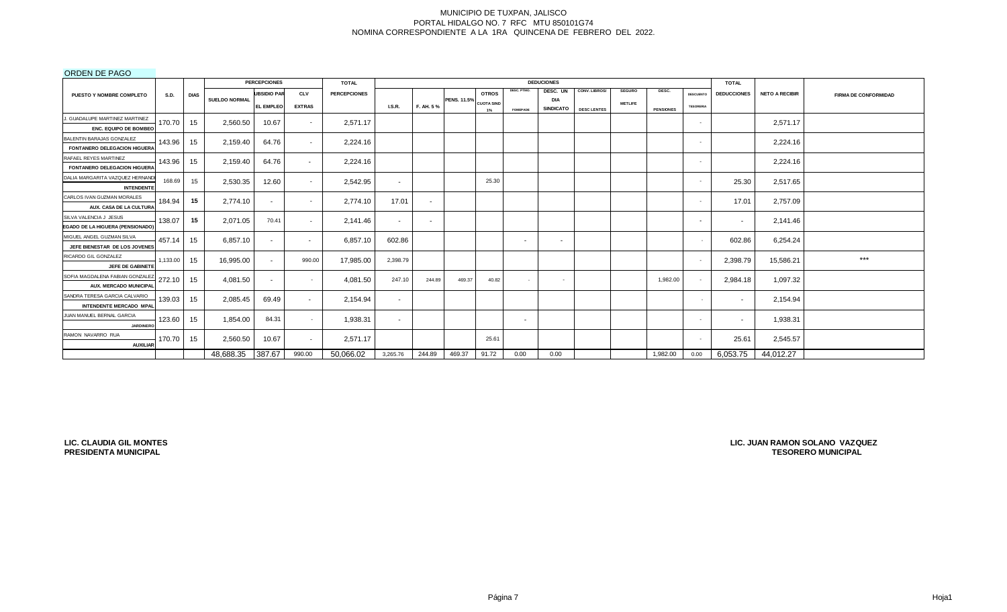# ORDEN DE PAGO

|                                                            |             |                  |                      | <b>PERCEPCIONES</b>      |                          | <b>TOTAL</b>        |          |           |                    |                   |                 | <b>DEDUCIONES</b>              |                    |                |                  |                  | <b>TOTAL</b>       |                       |                             |
|------------------------------------------------------------|-------------|------------------|----------------------|--------------------------|--------------------------|---------------------|----------|-----------|--------------------|-------------------|-----------------|--------------------------------|--------------------|----------------|------------------|------------------|--------------------|-----------------------|-----------------------------|
| <b>PUESTO Y NOMBRE COMPLETO</b>                            | <b>S.D.</b> | <b>DIAS</b>      |                      | <b>UBSIDIO PAR</b>       | <b>CLV</b>               | <b>PERCEPCIONES</b> |          |           |                    | <b>OTROS</b>      | DESC. PTMO.     | DESC. UN                       | CONV. LIBROS/      | <b>SEGURO</b>  | DESC.            | <b>DESCUENTO</b> | <b>DEDUCCIONES</b> | <b>NETO A RECIBIR</b> | <b>FIRMA DE CONFORMIDAD</b> |
|                                                            |             |                  | <b>SUELDO NORMAL</b> | <b>EL EMPLEO</b>         | <b>EXTRAS</b>            |                     | I.S.R.   | F. AH. 5% | <b>PENS. 11.5%</b> | <b>CUOTA SIND</b> |                 | <b>DIA</b><br><b>SINDICATO</b> |                    | <b>METLIFE</b> |                  | <b>TESORERIA</b> |                    |                       |                             |
|                                                            |             |                  |                      |                          |                          |                     |          |           |                    | 1%                | <b>FOMEPADE</b> |                                | <b>DESC LENTES</b> |                | <b>PENSIONES</b> |                  |                    |                       |                             |
| J. GUADALUPE MARTINEZ MARTINEZ<br>ENC. EQUIPO DE BOMBEO    | 170.70      | 15               | 2,560.50             | 10.67                    |                          | 2,571.17            |          |           |                    |                   |                 |                                |                    |                |                  |                  |                    | 2,571.17              |                             |
|                                                            |             |                  |                      |                          |                          |                     |          |           |                    |                   |                 |                                |                    |                |                  |                  |                    |                       |                             |
| BALENTIN BARAJAS GONZALEZ                                  | 143.96      | 15 <sup>15</sup> | 2,159.40             | 64.76                    |                          | 2,224.16            |          |           |                    |                   |                 |                                |                    |                |                  |                  |                    | 2,224.16              |                             |
| FONTANERO DELEGACION HIGUERA<br>RAFAEL REYES MARTINEZ      |             |                  |                      |                          |                          |                     |          |           |                    |                   |                 |                                |                    |                |                  |                  |                    |                       |                             |
|                                                            | 143.96      | 15               | 2.159.40             | 64.76                    | $\sim$                   | 2,224.16            |          |           |                    |                   |                 |                                |                    |                |                  | - 1              |                    | 2,224.16              |                             |
| <b>FONTANERO DELEGACION HIGUERA</b>                        |             |                  |                      |                          |                          |                     |          |           |                    |                   |                 |                                |                    |                |                  |                  |                    |                       |                             |
| DALIA MARGARITA VAZQUEZ HERNAND                            | 168.69      | 15               | 2,530.35             | 12.60                    |                          | 2,542.95            | $\sim$   |           |                    | 25.30             |                 |                                |                    |                |                  | <b>.</b>         | 25.30              | 2,517.65              |                             |
| <b>INTENDENT</b><br>CARLOS IVAN GUZMAN MORALES             |             |                  |                      |                          |                          |                     |          |           |                    |                   |                 |                                |                    |                |                  |                  |                    |                       |                             |
| AUX. CASA DE LA CULTURA                                    | 184.94      | 15               | 2.774.10             | $\sim$                   | $\sim$                   | 2,774.10            | 17.01    | $\sim$    |                    |                   |                 |                                |                    |                |                  | <b>.</b>         | 17.01              | 2,757.09              |                             |
|                                                            |             |                  |                      |                          |                          |                     |          |           |                    |                   |                 |                                |                    |                |                  |                  |                    |                       |                             |
| SILVA VALENCIA J JESUS                                     | 138.07      | 15               | 2,071.05             | 70.41                    | $\overline{\phantom{0}}$ | 2,141.46            | $\sim$   | $\sim$    |                    |                   |                 |                                |                    |                |                  | $\sim$           | $\sim$             | 2,141.46              |                             |
| EGADO DE LA HIGUERA (PENSIONADO)                           |             |                  |                      |                          |                          |                     |          |           |                    |                   |                 |                                |                    |                |                  |                  |                    |                       |                             |
| MIGUEL ANGEL GUZMAN SILVA<br>JEFE BIENESTAR DE LOS JOVENES | 457.14      | 15               | 6,857.10             | $\overline{\phantom{a}}$ | $\sim$                   | 6,857.10            | 602.86   |           |                    |                   | $\sim$          | $\sim$                         |                    |                |                  |                  | 602.86             | 6,254.24              |                             |
|                                                            |             |                  |                      |                          |                          |                     |          |           |                    |                   |                 |                                |                    |                |                  |                  |                    |                       |                             |
| RICARDO GIL GONZALEZ                                       | 1,133.00    | 15               | 16,995.00            |                          | 990.00                   | 17,985.00           | 2,398.79 |           |                    |                   |                 |                                |                    |                |                  | <b>.</b>         | 2,398.79           | 15,586.21             | $***$                       |
| JEFE DE GABINETE                                           |             |                  |                      |                          |                          |                     |          |           |                    |                   |                 |                                |                    |                |                  |                  |                    |                       |                             |
| SOFIA MAGDALENA FABIAN GONZALEZ                            | 272.10      | 15 <sup>15</sup> | 4,081.50             |                          |                          | 4,081.50            | 247.10   | 244.89    | 469.37             | 40.82             |                 | $\sim$                         |                    |                | 1,982.00         | <b>.</b>         | 2,984.18           | 1,097.32              |                             |
| AUX. MERCADO MUNICIPAL                                     |             |                  |                      |                          |                          |                     |          |           |                    |                   |                 |                                |                    |                |                  |                  |                    |                       |                             |
| SANDRA TERESA GARCIA CALVARIO                              | 139.03      | 15               | 2,085.45             | 69.49                    | $\sim$                   | 2,154.94            | $\sim$   |           |                    |                   |                 |                                |                    |                |                  |                  | $\sim$             | 2,154.94              |                             |
| INTENDENTE MERCADO MPAL                                    |             |                  |                      |                          |                          |                     |          |           |                    |                   |                 |                                |                    |                |                  |                  |                    |                       |                             |
| JUAN MANUEL BERNAL GARCIA<br><b>JARDINERC</b>              | 123.60      | 15               | 1,854.00             | 84.31                    |                          | 1,938.31            | $\sim$   |           |                    |                   | $\sim$          |                                |                    |                |                  | $\sim$           | $\sim$             | 1,938.31              |                             |
|                                                            |             |                  |                      |                          |                          |                     |          |           |                    |                   |                 |                                |                    |                |                  |                  |                    |                       |                             |
| RAMON NAVARRO RUA<br><b>AUXILIAR</b>                       | 170.70      | 15               | 2,560.50             | 10.67                    |                          | 2,571.17            |          |           |                    | 25.61             |                 |                                |                    |                |                  |                  | 25.61              | 2,545.57              |                             |
|                                                            |             |                  | 48,688.35            | 387.67                   | 990.00                   | 50,066.02           | 3,265.76 | 244.89    | 469.37             | 91.72             | 0.00            | 0.00                           |                    |                | 1,982.00         | 0.00             | 6,053.75           | 44,012.27             |                             |
|                                                            |             |                  |                      |                          |                          |                     |          |           |                    |                   |                 |                                |                    |                |                  |                  |                    |                       |                             |

**LIC. CLAUDIA GIL MONTES PRESIDENTA MUNICIPAL**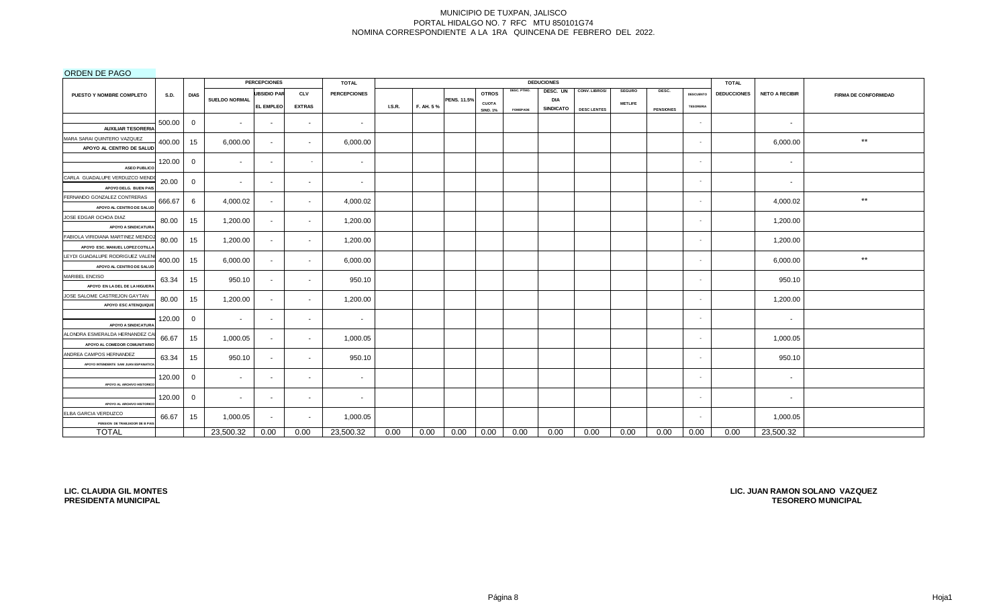# ORDEN DE PAGO

|                                                                      |             |              |                          | <b>PERCEPCIONES</b> |               | <b>TOTAL</b>        |               |           |                    |                 |                 | <b>DEDUCIONES</b> |                    |                |                  |                  | <b>TOTAL</b>       |                       |                             |
|----------------------------------------------------------------------|-------------|--------------|--------------------------|---------------------|---------------|---------------------|---------------|-----------|--------------------|-----------------|-----------------|-------------------|--------------------|----------------|------------------|------------------|--------------------|-----------------------|-----------------------------|
| PUESTO Y NOMBRE COMPLETO                                             | <b>S.D.</b> | <b>DIAS</b>  |                          | <b>UBSIDIO PAR</b>  | <b>CLV</b>    | <b>PERCEPCIONES</b> |               |           |                    | <b>OTROS</b>    | DESC. PTMO.     | DESC. UN          | CONV. LIBROS/      | <b>SEGURO</b>  | DESC.            | <b>DESCUENTO</b> | <b>DEDUCCIONES</b> | <b>NETO A RECIBIR</b> | <b>FIRMA DE CONFORMIDAD</b> |
|                                                                      |             |              | <b>SUELDO NORMAL</b>     | <b>EL EMPLEO</b>    | <b>EXTRAS</b> |                     | <b>I.S.R.</b> | F. AH. 5% | <b>PENS. 11.5%</b> | <b>CUOTA</b>    |                 | <b>DIA</b>        |                    | <b>METLIFE</b> |                  | <b>TESORERIA</b> |                    |                       |                             |
|                                                                      |             |              |                          |                     |               |                     |               |           |                    | <b>SIND. 1%</b> | <b>FOMEPADE</b> | <b>SINDICATO</b>  | <b>DESC LENTES</b> |                | <b>PENSIONES</b> |                  |                    |                       |                             |
| <b>AUXILIAR TESORERIA</b>                                            | 500.00      | 0            | $\overline{\phantom{a}}$ | $\sim$              | $\sim$        | $\sim$              |               |           |                    |                 |                 |                   |                    |                |                  | $\sim$           |                    | $\sim$                |                             |
| MARA SARAI QUINTERO VAZQUEZ<br>APOYO AL CENTRO DE SALUD              | 400.00      | 15           | 6,000.00                 | $\sim$              | $\sim$        | 6,000.00            |               |           |                    |                 |                 |                   |                    |                |                  | $\sim$           |                    | 6,000.00              | $^{\star\star}$             |
| <b>ASEO PUBLICO</b>                                                  | 120.00      | $\mathbf{0}$ | . .                      | $\sim$              | $\sim$        | $\sim$              |               |           |                    |                 |                 |                   |                    |                |                  | $\sim$           |                    | $\sim$                |                             |
| CARLA GUADALUPE VERDUZCO MEND<br>APOYO DELG. BUEN PAIS               | 20.00       | $\mathbf{0}$ | $\sim$                   | $\sim$              | $\sim$        | $\sim$              |               |           |                    |                 |                 |                   |                    |                |                  | $\sim$           |                    | $\sim$                |                             |
| FERNANDO GONZALEZ CONTRERAS<br>APOYO AL CENTRO DE SALUD              | 666.67      | 6            | 4,000.02                 | $\sim$              | $\sim$        | 4,000.02            |               |           |                    |                 |                 |                   |                    |                |                  | $\sim$           |                    | 4,000.02              | $\star\star$                |
| JOSE EDGAR OCHOA DIAZ<br>APOYO A SINDICATURA                         | 80.00       | 15           | 1,200.00                 | $\sim$              | $\sim$        | 1,200.00            |               |           |                    |                 |                 |                   |                    |                |                  | $\sim$           |                    | 1,200.00              |                             |
| FABIOLA VIRIDIANA MARTINEZ MENDOZ<br>APOYO ESC. MANUEL LOPEZ COTILL/ | 80.00       | 15           | 1,200.00                 | $\sim$              | $\sim$        | 1,200.00            |               |           |                    |                 |                 |                   |                    |                |                  | $\sim$           |                    | 1,200.00              |                             |
| LEYDI GUADALUPE RODRIGUEZ VALEN<br>APOYO AL CENTRO DE SALUD          | 400.00      | 15           | 6,000.00                 | $\sim$              | $\sim$        | 6,000.00            |               |           |                    |                 |                 |                   |                    |                |                  | ٠                |                    | 6,000.00              | $***$                       |
| MARIBEL ENCISO<br>APOYO EN LA DEL DE LA HIGUERA                      | 63.34       | 15           | 950.10                   | $\sim$              | $\sim$        | 950.10              |               |           |                    |                 |                 |                   |                    |                |                  | $\sim$           |                    | 950.10                |                             |
| JOSE SALOME CASTREJON GAYTAN<br>APOYO ESC ATENQUIQUE                 | 80.00       | 15           | 1,200.00                 | $\sim$              | $\sim$        | 1,200.00            |               |           |                    |                 |                 |                   |                    |                |                  | $\sim$           |                    | 1,200.00              |                             |
| <b>APOYO A SINDICATURA</b>                                           | 120.00      | 0            |                          | $\sim$              | $\sim$        | $\sim$              |               |           |                    |                 |                 |                   |                    |                |                  | $\sim$           |                    | $\sim$                |                             |
| ALONDRA ESMERALDA HERNANDEZ CA<br>APOYO AL COMEDOR COMUNITARIO       | 66.67       | 15           | 1,000.05                 | $\sim$              | $\sim$        | 1,000.05            |               |           |                    |                 |                 |                   |                    |                |                  | $\sim$           |                    | 1,000.05              |                             |
| ANDREA CAMPOS HERNANDEZ<br>APOYO INTENDENTE SAM JUAN ESPANATICA      | 63.34       | 15           | 950.10                   | $\sim$              | $\sim$        | 950.10              |               |           |                    |                 |                 |                   |                    |                |                  | $\sim$           |                    | 950.10                |                             |
| APOYO AL ARCHIVO HISTORIC                                            | 120.00      | 0            | $\sim$                   | $\sim$              | $\sim$        | $\sim$              |               |           |                    |                 |                 |                   |                    |                |                  | $\sim$           |                    | $\sim$                |                             |
| APOYO AL ARCHIVO HISTORICO                                           | 120.00      | $\mathbf{0}$ | $\sim$                   | $\sim$              | $\sim$        | $\sim$              |               |           |                    |                 |                 |                   |                    |                |                  | $\sim$           |                    | $\sim$                |                             |
| ELBA GARCIA VERDUZCO<br>PENSION DE TRABJADOR DE B PAIS               | 66.67       | 15           | 1,000.05                 | $\sim$              | $\sim$        | 1,000.05            |               |           |                    |                 |                 |                   |                    |                |                  | $\sim$           |                    | 1,000.05              |                             |
| <b>TOTAL</b>                                                         |             |              | 23,500.32                | 0.00                | 0.00          | 23,500.32           | 0.00          | 0.00      | 0.00               | 0.00            | 0.00            | 0.00              | 0.00               | 0.00           | 0.00             | 0.00             | 0.00               | 23,500.32             |                             |

**LIC. CLAUDIA GIL MONTES PRESIDENTA MUNICIPAL**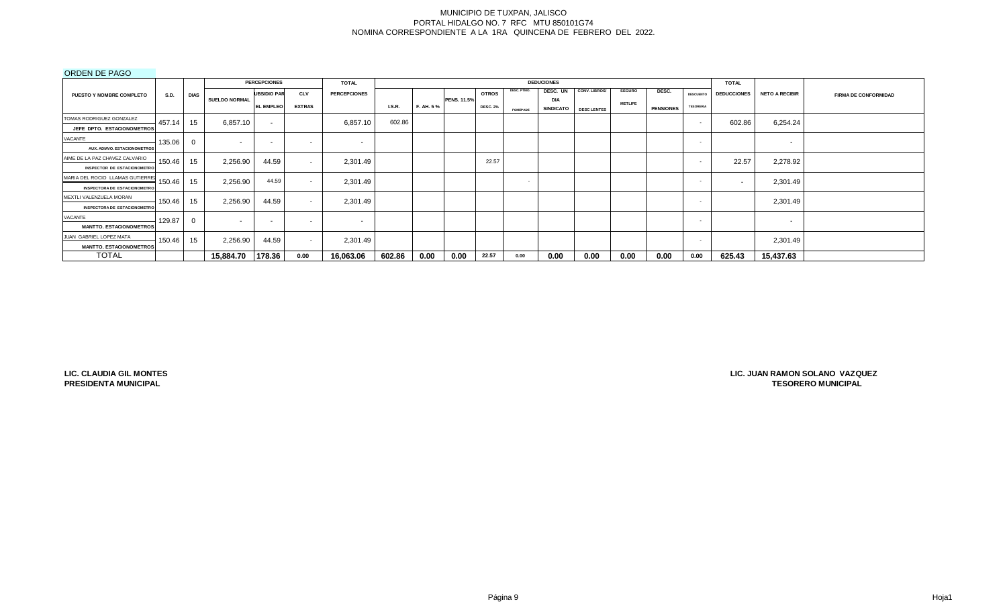# ORDEN DE PAGO

|                                     |             |             |                      | <b>PERCEPCIONES</b>      |               | <b>TOTAL</b>        |               |           |                    |                 |                 | <b>DEDUCIONES</b>       |                    |                |                  |                  | <b>TOTAL</b>       |                          |                             |
|-------------------------------------|-------------|-------------|----------------------|--------------------------|---------------|---------------------|---------------|-----------|--------------------|-----------------|-----------------|-------------------------|--------------------|----------------|------------------|------------------|--------------------|--------------------------|-----------------------------|
| <b>PUESTO Y NOMBRE COMPLETO</b>     | <b>S.D.</b> | <b>DIAS</b> |                      | <b>UBSIDIO PAR</b>       | <b>CLV</b>    | <b>PERCEPCIONES</b> |               |           |                    | <b>OTROS</b>    | DESC. PTMO.     | DESC. UN                | CONV. LIBROS/      | <b>SEGURO</b>  | DESC.            | <b>DESCUENTO</b> | <b>DEDUCCIONES</b> | <b>NETO A RECIBIR</b>    | <b>FIRMA DE CONFORMIDAD</b> |
|                                     |             |             | <b>SUELDO NORMAL</b> | <b>EL EMPLEO</b>         | <b>EXTRAS</b> |                     | <b>I.S.R.</b> | F. AH. 5% | <b>PENS. 11.5%</b> | <b>DESC. 2%</b> | <b>FOMEPADE</b> | <b>DIA</b><br>SINDICATO | <b>DESC LENTES</b> | <b>METLIFE</b> | <b>PENSIONES</b> | <b>TESORERIA</b> |                    |                          |                             |
| TOMAS RODRIGUEZ GONZALEZ            | 457.14      | 15          | 6,857.10             | $\sim$                   |               | 6,857.10            | 602.86        |           |                    |                 |                 |                         |                    |                |                  | $\sim$           | 602.86             | 6,254.24                 |                             |
| JEFE DPTO. ESTACIONOMETROS          |             |             |                      |                          |               |                     |               |           |                    |                 |                 |                         |                    |                |                  |                  |                    |                          |                             |
| VACANTE                             | 135.06      |             | . .                  | $\overline{\phantom{a}}$ | $\sim$        | $\sim$              |               |           |                    |                 |                 |                         |                    |                |                  | . .              |                    | $\sim$                   |                             |
| <b>AUX. ADMVO. ESTACIONOMETROS</b>  |             |             |                      |                          |               |                     |               |           |                    |                 |                 |                         |                    |                |                  |                  |                    |                          |                             |
| AIME DE LA PAZ CHAVEZ CALVARIO      | 150.46      | 15          | 2,256.90             | 44.59                    | $\sim$        | 2,301.49            |               |           |                    | 22.57           |                 |                         |                    |                |                  | . .              | 22.57              | 2,278.92                 |                             |
| <b>INSPECTOR DE ESTACIONOMETRO</b>  |             |             |                      |                          |               |                     |               |           |                    |                 |                 |                         |                    |                |                  |                  |                    |                          |                             |
| MARIA DEL ROCIO LLAMAS GUTIERREZ    | 150.46      | 15          | 2,256.90             | 44.59                    | $\sim$        | 2,301.49            |               |           |                    |                 | $\sim$          |                         |                    |                |                  | . .              |                    | 2,301.49                 |                             |
| <b>INSPECTORA DE ESTACIONOMETRO</b> |             |             |                      |                          |               |                     |               |           |                    |                 |                 |                         |                    |                |                  |                  |                    |                          |                             |
| MEXTLI VALENZUELA MORAN             | 150.46      | 15          | 2,256.90             | 44.59                    | $\sim$        | 2,301.49            |               |           |                    |                 |                 |                         |                    |                |                  |                  |                    | 2,301.49                 |                             |
| <b>INSPECTORA DE ESTACIONOMETRO</b> |             |             |                      |                          |               |                     |               |           |                    |                 |                 |                         |                    |                |                  |                  |                    |                          |                             |
| VACANTE                             | 129.87      | $\Omega$    | . .                  | $\overline{\phantom{0}}$ | $\sim$        | $\sim$              |               |           |                    |                 |                 |                         |                    |                |                  | $\sim$           |                    | $\overline{\phantom{a}}$ |                             |
| <b>MANTTO. ESTACIONOMETROS</b>      |             |             |                      |                          |               |                     |               |           |                    |                 |                 |                         |                    |                |                  |                  |                    |                          |                             |
| JUAN GABRIEL LOPEZ MATA             | 150.46      | 15          | 2,256.90             | 44.59                    | $\sim$        | 2,301.49            |               |           |                    |                 |                 |                         |                    |                |                  | $\sim$           |                    | 2,301.49                 |                             |
| <b>MANTTO, ESTACIONOMETROS</b>      |             |             |                      |                          |               |                     |               |           |                    |                 |                 |                         |                    |                |                  |                  |                    |                          |                             |
| <b>TOTAL</b>                        |             |             | 15,884.70            | 178.36                   | 0.00          | 16,063.06           | 602.86        | 0.00      | 0.00               | 22.57           | 0.00            | 0.00                    | 0.00               | 0.00           | 0.00             | 0.00             | 625.43             | 15,437.63                |                             |

**LIC. CLAUDIA GIL MONTES PRESIDENTA MUNICIPAL**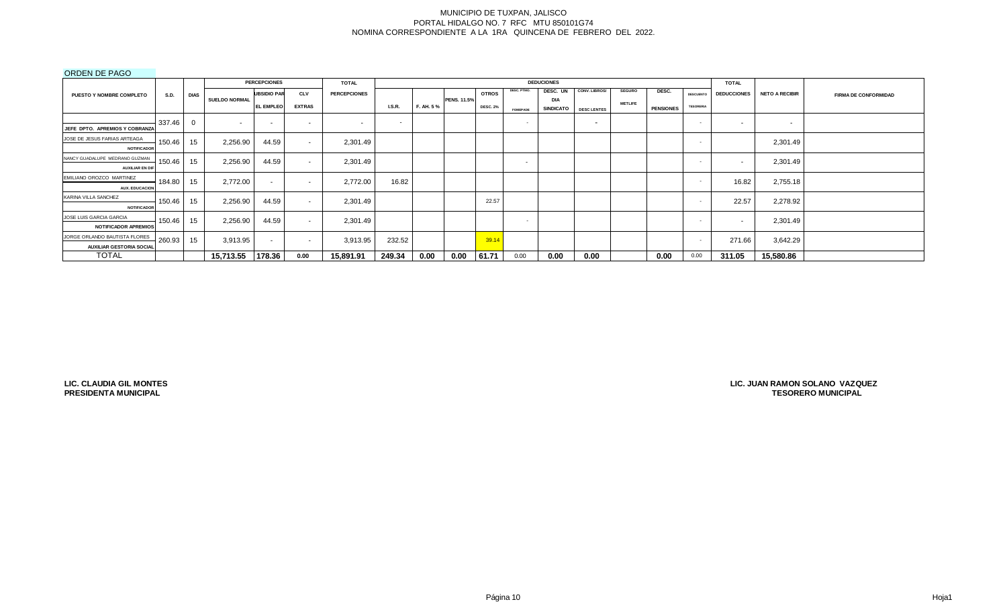# ORDEN DE PAGO

|                                 |             |             |                      | <b>PERCEPCIONES</b>      |               | <b>TOTAL</b>        |                          |           |                    |                 |                 | <b>DEDUCIONES</b>       |                    |                |                  |                  | <b>TOTAL</b>       |                       |                             |
|---------------------------------|-------------|-------------|----------------------|--------------------------|---------------|---------------------|--------------------------|-----------|--------------------|-----------------|-----------------|-------------------------|--------------------|----------------|------------------|------------------|--------------------|-----------------------|-----------------------------|
| PUESTO Y NOMBRE COMPLETO        | <b>S.D.</b> | <b>DIAS</b> |                      | <b>UBSIDIO PAR</b>       | <b>CLV</b>    | <b>PERCEPCIONES</b> |                          |           |                    | <b>OTROS</b>    | DESC. PTMO.     | DESC. UN                | CONV. LIBROS/      | <b>SEGURO</b>  | DESC.            | DESCUENTO        | <b>DEDUCCIONES</b> | <b>NETO A RECIBIR</b> | <b>FIRMA DE CONFORMIDAD</b> |
|                                 |             |             | <b>SUELDO NORMAL</b> | <b>EL EMPLEO</b>         | <b>EXTRAS</b> |                     | <b>I.S.R.</b>            | F. AH. 5% | <b>PENS. 11.5%</b> | <b>DESC. 2%</b> | <b>FOMEPADE</b> | DIA<br><b>SINDICATO</b> | <b>DESC LENTES</b> | <b>METLIFE</b> | <b>PENSIONES</b> | <b>TESORERIA</b> |                    |                       |                             |
|                                 | 337.46      | $\mathbf 0$ | . .                  | $\overline{\phantom{a}}$ | $\sim$        | $\sim$              | $\overline{\phantom{a}}$ |           |                    |                 | $\sim$          |                         | . .                |                |                  | <b>COL</b>       | $\sim$             | $\sim$                |                             |
| JEFE DPTO. APREMIOS Y COBRANZA  |             |             |                      |                          |               |                     |                          |           |                    |                 |                 |                         |                    |                |                  |                  |                    |                       |                             |
| JOSE DE JESUS FARIAS ARTEAGA    | 150.46      | 15          | 2,256.90             | 44.59                    | $\sim$        | 2,301.49            |                          |           |                    |                 |                 |                         |                    |                |                  |                  |                    | 2,301.49              |                             |
| <b>NOTIFICADOR</b>              |             |             |                      |                          |               |                     |                          |           |                    |                 |                 |                         |                    |                |                  |                  |                    |                       |                             |
| NANCY GUADALUPE MEDRANO GUZMAN  | 150.46      | 15          | 2,256.90             | 44.59                    | $\sim$        | 2,301.49            |                          |           |                    |                 | $\sim$          |                         |                    |                |                  | . .              |                    | 2,301.49              |                             |
| <b>AUXILIAR EN DIF</b>          |             |             |                      |                          |               |                     |                          |           |                    |                 |                 |                         |                    |                |                  |                  |                    |                       |                             |
| EMILIANO OROZCO MARTINEZ        | 184.80      | 15          | 2,772.00             | $\sim$                   | $\sim$        | 2,772.00            | 16.82                    |           |                    |                 |                 |                         |                    |                |                  | <b>COL</b>       | 16.82              | 2,755.18              |                             |
| <b>AUX. EDUCACION</b>           |             |             |                      |                          |               |                     |                          |           |                    |                 |                 |                         |                    |                |                  |                  |                    |                       |                             |
| KARINA VILLA SANCHEZ            | 150.46      | 15          | 2,256.90             | 44.59                    | $\sim$        | 2,301.49            |                          |           |                    | 22.57           |                 |                         |                    |                |                  | $\sim$           | 22.57              | 2,278.92              |                             |
| <b>NOTIFICADOR</b>              |             |             |                      |                          |               |                     |                          |           |                    |                 |                 |                         |                    |                |                  |                  |                    |                       |                             |
| JOSE LUIS GARCIA GARCIA         | 150.46      | 15          | 2,256.90             | 44.59                    | $\sim$        | 2,301.49            |                          |           |                    |                 | $\sim$          |                         |                    |                |                  | $\sim$           |                    | 2,301.49              |                             |
| <b>NOTIFICADOR APREMIOS</b>     |             |             |                      |                          |               |                     |                          |           |                    |                 |                 |                         |                    |                |                  |                  |                    |                       |                             |
| JORGE ORLANDO BAUTISTA FLORES   | 260.93      | 15          | 3,913.95             | $\sim$                   | $\sim$        | 3,913.95            | 232.52                   |           |                    | 39.14           |                 |                         |                    |                |                  | $\sim$           | 271.66             | 3,642.29              |                             |
| <b>AUXILIAR GESTORIA SOCIAL</b> |             |             |                      |                          |               |                     |                          |           |                    |                 |                 |                         |                    |                |                  |                  |                    |                       |                             |
| <b>TOTAL</b>                    |             |             | 15,713.55            | 178.36                   | 0.00          | 15,891.91           | 249.34                   | 0.00      | 0.00               | 61.71           | 0.00            | 0.00                    | 0.00               |                | 0.00             | 0.00             | 311.05             | 15,580.86             |                             |

**LIC. CLAUDIA GIL MONTES PRESIDENTA MUNICIPAL**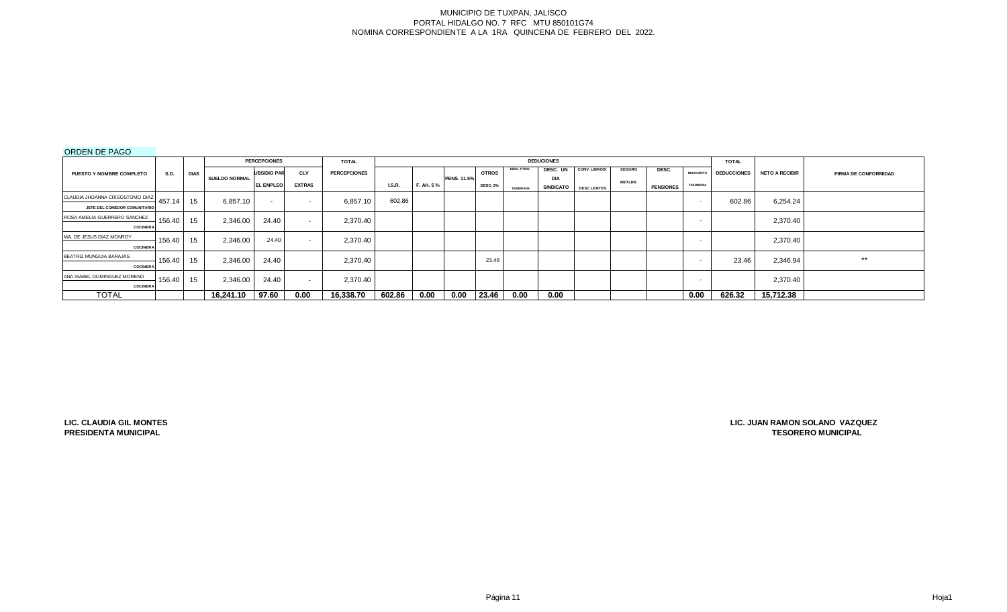# ORDEN DE PAGO

|                                 |             |             |                      | <b>PERCEPCIONES</b> |               | <b>TOTAL</b>        |               |           |                    |                 |                 | <b>DEDUCIONES</b> |                    |                |                  |                  | <b>TOTAL</b>       |                       |                             |
|---------------------------------|-------------|-------------|----------------------|---------------------|---------------|---------------------|---------------|-----------|--------------------|-----------------|-----------------|-------------------|--------------------|----------------|------------------|------------------|--------------------|-----------------------|-----------------------------|
| PUESTO Y NOMBRE COMPLETO        | <b>S.D.</b> | <b>DIAS</b> |                      | <b>UBSIDIO PAR</b>  | <b>CLV</b>    | <b>PERCEPCIONES</b> |               |           |                    | <b>OTROS</b>    | DESC. PTMO.     | DESC. UN          | CONV. LIBROS/      | <b>SEGURO</b>  | DESC.            | <b>DESCUENTO</b> | <b>DEDUCCIONES</b> | <b>NETO A RECIBIR</b> | <b>FIRMA DE CONFORMIDAD</b> |
|                                 |             |             | <b>SUELDO NORMAL</b> | <b>EL EMPLEO</b>    | <b>EXTRAS</b> |                     | <b>I.S.R.</b> | F. AH. 5% | <b>PENS. 11.5%</b> |                 |                 | <b>DIA</b>        |                    | <b>METLIFE</b> |                  | <b>TESORERIA</b> |                    |                       |                             |
|                                 |             |             |                      |                     |               |                     |               |           |                    | <b>DESC. 2%</b> | <b>FOMEPADE</b> | <b>SINDICATO</b>  | <b>DESC LENTES</b> |                | <b>PENSIONES</b> |                  |                    |                       |                             |
| CLAUDIA JHOANNA CRISOSTOMO DIAZ | 457.14      | 15          | 6.857.10             | $\sim$              | $\sim$        | 6,857.10            | 602.86        |           |                    |                 |                 |                   |                    |                |                  | . .              | 602.86             | 6,254.24              |                             |
| JEFE DEL COMEDOR COMUNITARIO    |             |             |                      |                     |               |                     |               |           |                    |                 |                 |                   |                    |                |                  |                  |                    |                       |                             |
| ROSA AMELIA GUERRERO SANCHEZ    | 156.40      | 15          | 2,346.00             | 24.40               | $\sim$        | 2,370.40            |               |           |                    |                 |                 |                   |                    |                |                  | $\sim$           |                    | 2,370.40              |                             |
| <b>COCINERA</b>                 |             |             |                      |                     |               |                     |               |           |                    |                 |                 |                   |                    |                |                  |                  |                    |                       |                             |
| MA. DE JESUS DIAZ MONROY        | 156.40      | 15          | 2,346.00             | 24.40               | $\sim$        | 2,370.40            |               |           |                    |                 |                 |                   |                    |                |                  | $\sim$           |                    | 2,370.40              |                             |
| <b>COCINERA</b>                 |             |             |                      |                     |               |                     |               |           |                    |                 |                 |                   |                    |                |                  |                  |                    |                       |                             |
| BEATRIZ MUNGUIA BARAJAS         | 156.40      | 15          | 2,346.00             | 24.40               |               | 2,370.40            |               |           |                    | 23.46           |                 |                   |                    |                |                  | . .              | 23.46              | 2,346.94              | $***$                       |
| <b>COCINERA</b>                 |             |             |                      |                     |               |                     |               |           |                    |                 |                 |                   |                    |                |                  |                  |                    |                       |                             |
| ANA ISABEL DOMINGUEZ MORENO     | 156.40      | 15          | 2,346.00             | 24.40               | $\sim$        | 2.370.40            |               |           |                    |                 |                 |                   |                    |                |                  |                  |                    | 2,370.40              |                             |
| <b>COCINERA</b>                 |             |             |                      |                     |               |                     |               |           |                    |                 |                 |                   |                    |                |                  |                  |                    |                       |                             |
| <b>TOTAL</b>                    |             |             | 16.241.10            | 97.60               | 0.00          | 16,338.70           | 602.86        | 0.00      | 0.00               | 23.46           | 0.00            | 0.00              |                    |                |                  | 0.00             | 626.32             | 15,712.38             |                             |

**LIC. CLAUDIA GIL MONTES PRESIDENTA MUNICIPAL**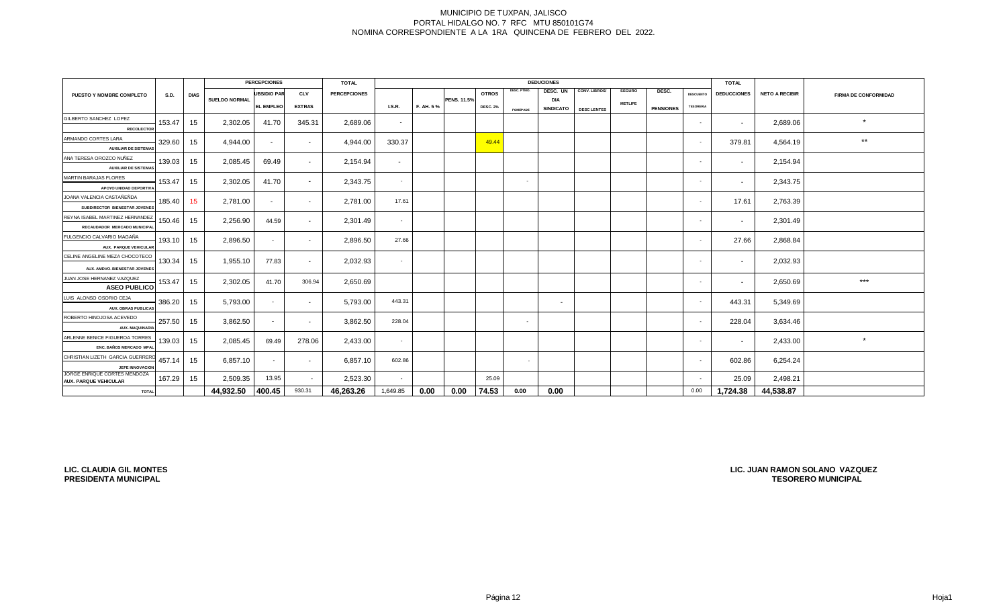|                                                                 |             |             |                      | <b>PERCEPCIONES</b> |               | <b>TOTAL</b>        |               |           |                    |                 |                 | <b>DEDUCIONES</b>              |                    |                |                  |                  | <b>TOTAL</b>       |                       |                             |
|-----------------------------------------------------------------|-------------|-------------|----------------------|---------------------|---------------|---------------------|---------------|-----------|--------------------|-----------------|-----------------|--------------------------------|--------------------|----------------|------------------|------------------|--------------------|-----------------------|-----------------------------|
| PUESTO Y NOMBRE COMPLETO                                        | <b>S.D.</b> | <b>DIAS</b> |                      | <b>UBSIDIO PAR</b>  | <b>CLV</b>    | <b>PERCEPCIONES</b> |               |           |                    | <b>OTROS</b>    | DESC. PTMO.     | DESC. UN                       | CONV. LIBROS/      | <b>SEGURO</b>  | DESC.            | <b>DESCUENTO</b> | <b>DEDUCCIONES</b> | <b>NETO A RECIBIR</b> | <b>FIRMA DE CONFORMIDAD</b> |
|                                                                 |             |             | <b>SUELDO NORMAL</b> | <b>EL EMPLEO</b>    | <b>EXTRAS</b> |                     | <b>I.S.R.</b> | F. AH. 5% | <b>PENS. 11.5%</b> | <b>DESC. 2%</b> | <b>FOMEPADE</b> | <b>DIA</b><br><b>SINDICATO</b> | <b>DESC LENTES</b> | <b>METLIFE</b> | <b>PENSIONES</b> | <b>TESORERIA</b> |                    |                       |                             |
| GILBERTO SANCHEZ LOPEZ                                          | 153.47      |             | 2,302.05             |                     |               |                     |               |           |                    |                 |                 |                                |                    |                |                  |                  |                    |                       | $\star$                     |
| <b>RECOLECTOR</b>                                               |             | 15          |                      | 41.70               | 345.31        | 2,689.06            | $\sim$        |           |                    |                 |                 |                                |                    |                |                  | $\sim$           | $\sim$             | 2,689.06              |                             |
| ARMANDO CORTES LARA                                             | 329.60      | 15          | 4,944.00             | $\sim$              | $\sim$        | 4,944.00            | 330.37        |           |                    | 49.44           |                 |                                |                    |                |                  | $\sim$           | 379.81             | 4,564.19              | $***$                       |
| <b>AUXILIAR DE SISTEMAS</b>                                     |             |             |                      |                     |               |                     |               |           |                    |                 |                 |                                |                    |                |                  |                  |                    |                       |                             |
| ANA TERESA OROZCO NUÑEZ<br><b>AUXILIAR DE SISTEMAS</b>          | 139.03      | 15          | 2,085.45             | 69.49               | $\sim$        | 2,154.94            | $\sim$        |           |                    |                 |                 |                                |                    |                |                  | $\sim$           | $\sim$             | 2,154.94              |                             |
| MARTIN BARAJAS FLORES                                           |             |             |                      |                     |               |                     |               |           |                    |                 |                 |                                |                    |                |                  |                  |                    |                       |                             |
| APOYO UNIDAD DEPORTIVA                                          | 153.47      | 15          | 2,302.05             | 41.70               | $\sim$        | 2,343.75            | $\sim$        |           |                    |                 | <b>Section</b>  |                                |                    |                |                  | $\sim$           | $\sim$             | 2,343.75              |                             |
| JOANA VALENCIA CASTAÑEÑDA                                       | 185.40      | 15          | 2,781.00             | $\sim$              | $\sim$        | 2.781.00            | 17.61         |           |                    |                 |                 |                                |                    |                |                  | - 1              | 17.61              | 2,763.39              |                             |
| SUBDIRECTOR BIENESTAR JOVENES                                   |             |             |                      |                     |               |                     |               |           |                    |                 |                 |                                |                    |                |                  |                  |                    |                       |                             |
| REYNA ISABEL MARTINEZ HERNANDEZ<br>RECAUDADOR MERCADO MUNICIPAL | 150.46      | 15          | 2,256.90             | 44.59               | $\sim$        | 2,301.49            | $\sim$        |           |                    |                 |                 |                                |                    |                |                  | $\sim$           | $\sim$             | 2,301.49              |                             |
| FULGENCIO CALVARIO MAGAÑA                                       | 193.10      | 15          | 2,896.50             | $\sim$              | $\sim$        | 2,896.50            | 27.66         |           |                    |                 |                 |                                |                    |                |                  | $\sim$ $-$       | 27.66              | 2,868.84              |                             |
| AUX. PARQUE VEHICULAR                                           |             |             |                      |                     |               |                     |               |           |                    |                 |                 |                                |                    |                |                  |                  |                    |                       |                             |
| CELINE ANGELINE MEZA CHOCOTECO                                  | 130.34      | 15          | 1,955.10             | 77.83               | $\sim$        | 2,032.93            |               |           |                    |                 |                 |                                |                    |                |                  | $\sim$           | $\sim$             | 2,032.93              |                             |
| AUX. AMDVO. BIENESTAR JOVENES                                   |             |             |                      |                     |               |                     |               |           |                    |                 |                 |                                |                    |                |                  |                  |                    |                       |                             |
| JUAN JOSE HERNANEZ VAZQUEZ<br><b>ASEO PUBLICO</b>               | 153.47      | 15          | 2,302.05             | 41.70               | 306.94        | 2,650.69            |               |           |                    |                 |                 |                                |                    |                |                  | $\sim$           | $\sim$             | 2,650.69              | $***$                       |
| LUIS ALONSO OSORIO CEJA                                         |             |             |                      |                     |               |                     |               |           |                    |                 |                 |                                |                    |                |                  |                  |                    |                       |                             |
| <b>AUX. OBRAS PUBLICAS</b>                                      | 386.20      | 15          | 5,793.00             | $\sim$              | $\sim$        | 5,793.00            | 443.31        |           |                    |                 |                 | $\overline{\phantom{a}}$       |                    |                |                  | $\sim$           | 443.31             | 5,349.69              |                             |
| ROBERTO HINOJOSA ACEVEDO<br>AUX. MAQUINARIA                     | 257.50      | 15          | 3,862.50             | $\sim$              | $\sim$        | 3,862.50            | 228.04        |           |                    |                 | $\sim$          |                                |                    |                |                  | $\sim$           | 228.04             | 3,634.46              |                             |
| ARLENNE BENICE FIGUEROA TORRES                                  |             |             |                      |                     |               |                     |               |           |                    |                 |                 |                                |                    |                |                  |                  |                    |                       | $\star$                     |
| ENC. BAÑOS MERCADO MPA                                          | 139.03      | 15          | 2,085.45             | 69.49               | 278.06        | 2,433.00            | $\sim$        |           |                    |                 |                 |                                |                    |                |                  | $\sim$           | $\sim$             | 2,433.00              |                             |
| CHRISTIAN LIZETH GARCIA GUERRER                                 | 457.14      | 15          | 6,857.10             | $\sim$              | $\sim$        | 6,857.10            | 602.86        |           |                    |                 | $\sim$          |                                |                    |                |                  | $\sim$           | 602.86             | 6,254.24              |                             |
| JEFE INNOVACION                                                 |             |             |                      |                     |               |                     |               |           |                    |                 |                 |                                |                    |                |                  |                  |                    |                       |                             |
| JORGE ENRIQUE CORTES MENDOZA<br><b>AUX. PARQUE VEHICULAR</b>    | 167.29      | 15          | 2,509.35             | 13.95               | $\sim$        | 2,523.30            | $\sim$        |           |                    | 25.09           |                 |                                |                    |                |                  | $\sim$           | 25.09              | 2,498.21              |                             |
| <b>TOTAL</b>                                                    |             |             | 44,932.50            | 400.45              | 930.31        | 46,263.26           | 1,649.85      | 0.00      | 0.00               | 74.53           | 0.00            | 0.00                           |                    |                |                  | 0.00             | 1,724.38           | 44.538.87             |                             |

**LIC. CLAUDIA GIL MONTES PRESIDENTA MUNICIPAL**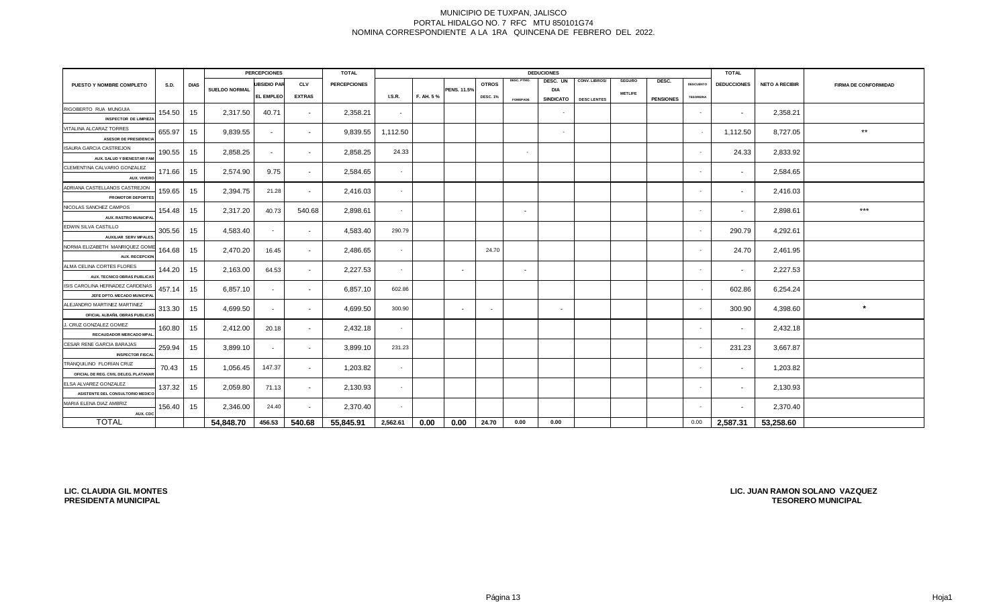| <b>PERCEPCIONES</b>                                               |        |             |                      |                  |                          | <b>TOTAL</b>        |          |           |                          |                 | <b>DEDUCIONES</b> | <b>TOTAL</b>     |                    |                |                  |                  |                          |                       |                             |
|-------------------------------------------------------------------|--------|-------------|----------------------|------------------|--------------------------|---------------------|----------|-----------|--------------------------|-----------------|-------------------|------------------|--------------------|----------------|------------------|------------------|--------------------------|-----------------------|-----------------------------|
| PUESTO Y NOMBRE COMPLETO                                          | S.D.   | <b>DIAS</b> |                      | UBSIDIO PAR      | <b>CLV</b>               | <b>PERCEPCIONES</b> |          |           |                          | <b>OTROS</b>    | <b>DESC. PTMO</b> | DESC. UN         | CONV. LIBROS/      | <b>SEGURO</b>  | DESC.            | <b>DESCUENTO</b> | <b>DEDUCCIONES</b>       | <b>NETO A RECIBIR</b> | <b>FIRMA DE CONFORMIDAD</b> |
|                                                                   |        |             | <b>SUELDO NORMAL</b> | <b>EL EMPLEO</b> | <b>EXTRAS</b>            |                     | LS.R.    | F. AH. 5% | <b>PENS. 11.5%</b>       | <b>DESC. 1%</b> |                   | <b>DIA</b>       |                    | <b>METLIFE</b> |                  | <b>TESORERIA</b> |                          |                       |                             |
|                                                                   |        |             |                      |                  |                          |                     |          |           |                          |                 | <b>FOMEPADE</b>   | <b>SINDICATO</b> | <b>DESC LENTES</b> |                | <b>PENSIONES</b> |                  |                          |                       |                             |
| RIGOBERTO RUA MUNGUIA                                             | 154.50 | 15          | 2,317.50             | 40.71            | $\sim$                   | 2,358.21            | $\sim$   |           |                          |                 |                   | $\sim$           |                    |                |                  | $\sim$           | $\overline{\phantom{a}}$ | 2,358.21              |                             |
| <b>INSPECTOR DE LIMPIEZA</b>                                      |        |             |                      |                  |                          |                     |          |           |                          |                 |                   |                  |                    |                |                  |                  |                          |                       |                             |
| VITALINA ALCARAZ TORRES                                           | 655.97 | 15          | 9,839.55             | $\sim$           | $\sim$                   | 9,839.55            | 1,112.50 |           |                          |                 |                   | $\sim$           |                    |                |                  | $\sim$           | 1,112.50                 | 8,727.05              | $\star\star$                |
| <b>ASESOR DE PRESIDENCIA</b>                                      |        |             |                      |                  |                          |                     |          |           |                          |                 |                   |                  |                    |                |                  |                  |                          |                       |                             |
| <b>ISAURA GARCIA CASTREJON</b><br>AUX. SALUD Y BIENESTAR FAM      | 190.55 | 15          | 2,858.25             | $\sim$           | $\overline{\phantom{a}}$ | 2,858.25            | 24.33    |           |                          |                 | $\sim$            |                  |                    |                |                  | $\sim$           | 24.33                    | 2,833.92              |                             |
| CLEMENTINA CALVARIO GONZALEZ<br>AUX. VIVERO                       | 171.66 | 15          | 2,574.90             | 9.75             | $\sim$                   | 2,584.65            | $\sim$   |           |                          |                 |                   |                  |                    |                |                  |                  | $\sim$                   | 2,584.65              |                             |
| ADRIANA CASTELLANOS CASTREJON<br>PROMOTOR DEPORTES                | 159.65 | 15          | 2,394.75             | 21.28            | $\sim$                   | 2,416.03            | $\sim$   |           |                          |                 |                   |                  |                    |                |                  |                  | $\sim$                   | 2,416.03              |                             |
| NICOLAS SANCHEZ CAMPOS<br><b>AUX. RASTRO MUNICIPA</b>             | 154.48 | 15          | 2,317.20             | 40.73            | 540.68                   | 2,898.61            | $\sim$   |           |                          |                 | $\sim$            |                  |                    |                |                  | $\sim$           | $\sim$                   | 2,898.61              | $***$                       |
| EDWIN SILVA CASTILLO<br><b>AUXILIAR SERV MPALES</b>               | 305.56 | 15          | 4,583.40             | $\sim$           | $\sim$                   | 4,583.40            | 290.79   |           |                          |                 |                   |                  |                    |                |                  | $\sim$           | 290.79                   | 4,292.61              |                             |
| NORMA ELIZABETH MANRIQUEZ GOM<br><b>AUX. RECEPCION</b>            | 164.68 | 15          | 2,470.20             | 16.45            | $\sim$                   | 2,486.65            | $\sim$   |           |                          | 24.70           |                   |                  |                    |                |                  | $\sim$           | 24.70                    | 2,461.95              |                             |
| ALMA CELINA CORTES FLORES<br>AUX. TECNICO OBRAS PUBLICAS          | 144.20 | 15          | 2,163.00             | 64.53            | $\sim$                   | 2,227.53            | $\sim$   |           | $\overline{\phantom{a}}$ |                 | $\sim$            |                  |                    |                |                  | $\sim$           | $\sim$                   | 2,227.53              |                             |
| ISIS CAROLINA HERNADEZ CARDENAS<br>JEFE DPTO. MECADO MUNICIPA     | 457.14 | 15          | 6,857.10             | $\sim$           | $\sim$                   | 6,857.10            | 602.86   |           |                          |                 |                   |                  |                    |                |                  | $\sim$           | 602.86                   | 6,254.24              |                             |
| ALEJANDRO MARTINEZ MARTINEZ<br>OFICIAL ALBAÑIL OBRAS PUBLICAS     | 313.30 | 15          | 4,699.50             | $\sim$           | $\sim$                   | 4,699.50            | 300.90   |           | $\overline{\phantom{a}}$ | . .             |                   | $\sim$           |                    |                |                  | $\sim$           | 300.90                   | 4,398.60              | $\star$                     |
| J. CRUZ GONZALEZ GOMEZ<br>RECAUDADOR MERCADO MPA                  | 160.80 | 15          | 2,412.00             | 20.18            | $\overline{\phantom{a}}$ | 2,432.18            | $\sim$   |           |                          |                 |                   |                  |                    |                |                  |                  | $\sim$                   | 2,432.18              |                             |
| CESAR RENE GARCIA BARAJAS<br><b>INSPECTOR FISCA</b>               | 259.94 | 15          | 3,899.10             | $\sim$           | $\overline{\phantom{a}}$ | 3,899.10            | 231.23   |           |                          |                 |                   |                  |                    |                |                  |                  | 231.23                   | 3,667.87              |                             |
| TRANQUILINO FLORIAN CRUZ<br>OFICIAL DE REG. CIVIL DELEG. PLATANAF | 70.43  | 15          | 1,056.45             | 147.37           | $\sim$                   | 1,203.82            | $\sim$   |           |                          |                 |                   |                  |                    |                |                  |                  | $\overline{\phantom{a}}$ | 1,203.82              |                             |
| ELSA ALVAREZ GONZALEZ                                             | 137.32 | 15          | 2,059.80             | 71.13            | $\sim$                   | 2,130.93            | $\sim$   |           |                          |                 |                   |                  |                    |                |                  |                  | $\sim$                   | 2,130.93              |                             |
| ASISTENTE DEL CONSULTORIO MEDICO                                  |        |             |                      |                  |                          |                     |          |           |                          |                 |                   |                  |                    |                |                  |                  |                          |                       |                             |
| MARIA ELENA DIAZ AMBRIZ<br>AUX. CDC                               | 156.40 | 15          | 2,346.00             | 24.40            | $\sim$                   | 2,370.40            | $\sim$   |           |                          |                 |                   |                  |                    |                |                  | $\sim$           | $\sim$                   | 2,370.40              |                             |
| <b>TOTAL</b>                                                      |        |             | 54.848.70            | 456.53           | 540.68                   | 55,845.91           | 2,562.61 | 0.00      | 0.00                     | 24.70           | 0.00              | 0.00             |                    |                |                  | 0.00             | 2,587.31                 | 53,258.60             |                             |

**LIC. CLAUDIA GIL MONTES PRESIDENTA MUNICIPAL**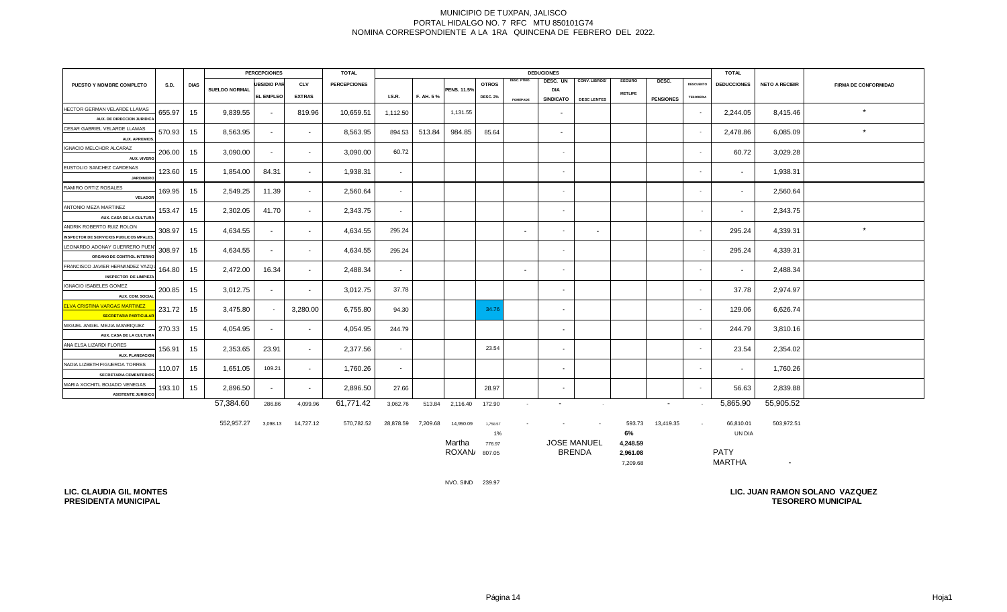|                                                      | <b>PERCEPCIONES</b><br><b>DEDUCIONES</b><br>TOTAL |             |                      |                    |               |                     |          |           |                 | <b>TOTAL</b>    |                 |                          |                    |                |                  |                  |                    |                       |                             |
|------------------------------------------------------|---------------------------------------------------|-------------|----------------------|--------------------|---------------|---------------------|----------|-----------|-----------------|-----------------|-----------------|--------------------------|--------------------|----------------|------------------|------------------|--------------------|-----------------------|-----------------------------|
| PUESTO Y NOMBRE COMPLETO                             | <b>S.D.</b>                                       | <b>DIAS</b> |                      | <b>UBSIDIO PAR</b> | <b>CLV</b>    | <b>PERCEPCIONES</b> |          |           |                 | <b>OTROS</b>    | DESC. PTMO.     | DESC. UN                 | CONV. LIBROS/      | <b>SEGURO</b>  | DESC.            | <b>DESCUENTO</b> | <b>DEDUCCIONES</b> | <b>NETO A RECIBIR</b> | <b>FIRMA DE CONFORMIDAD</b> |
|                                                      |                                                   |             | <b>SUELDO NORMAL</b> | <b>EL EMPLEO</b>   | <b>EXTRAS</b> |                     | LS.R.    | F. AH. 5% | PENS. 11.5%     | <b>DESC. 2%</b> |                 | DIA<br><b>SINDICATO</b>  |                    | <b>METLIFE</b> | <b>PENSIONES</b> | <b>TESORERIA</b> |                    |                       |                             |
| HECTOR GERMAN VELARDE LLAMAS                         |                                                   |             |                      |                    |               |                     |          |           |                 |                 | <b>FOMEPADE</b> |                          | <b>DESC LENTES</b> |                |                  |                  |                    |                       |                             |
| AUX. DE DIRECCION JURIDICA                           | 655.97                                            | 15          | 9,839.55             | $\sim$             | 819.96        | 10,659.51           | 1,112.50 |           | 1,131.55        |                 |                 | $\sim$                   |                    |                |                  | $\sim$           | 2,244.05           | 8,415.46              | $\star$                     |
| CESAR GABRIEL VELARDE LLAMAS                         |                                                   |             |                      |                    |               |                     |          |           |                 |                 |                 |                          |                    |                |                  |                  |                    |                       | $\star$                     |
| <b>AUX. APREMIOS</b>                                 | 570.93                                            | 15          | 8,563.95             | $\sim$             | $\sim$        | 8,563.95            | 894.53   | 513.84    | 984.85          | 85.64           |                 | $\sim$                   |                    |                |                  | $\sim$           | 2,478.86           | 6,085.09              |                             |
| IGNACIO MELCHOR ALCARAZ                              | 206.00                                            | 15          | 3,090.00             | $\sim$             | $\sim$        | 3,090.00            | 60.72    |           |                 |                 |                 | $\sim$                   |                    |                |                  | $\sim$           | 60.72              | 3,029.28              |                             |
| AUX. VIVERO                                          |                                                   |             |                      |                    |               |                     |          |           |                 |                 |                 |                          |                    |                |                  |                  |                    |                       |                             |
| EUSTOLIO SANCHEZ CARDENAS                            | 123.60                                            | 15          | 1,854.00             | 84.31              | $\sim$        | 1,938.31            | $\sim$   |           |                 |                 |                 | $\sim$                   |                    |                |                  | $\sim$           | $\sim$             | 1,938.31              |                             |
| <b>JARDINERO</b>                                     |                                                   |             |                      |                    |               |                     |          |           |                 |                 |                 |                          |                    |                |                  |                  |                    |                       |                             |
| RAMIRO ORTIZ ROSALES                                 | 169.95                                            | 15          | 2,549.25             | 11.39              | $\sim$        | 2,560.64            | $\sim$   |           |                 |                 |                 | $\sim$                   |                    |                |                  | $\sim$           | $\sim$             | 2,560.64              |                             |
| <b>VELADOR</b>                                       |                                                   |             |                      |                    |               |                     |          |           |                 |                 |                 |                          |                    |                |                  |                  |                    |                       |                             |
| ANTONIO MEZA MARTINEZ                                | 153.47                                            | 15          | 2,302.05             | 41.70              | $\sim$        | 2,343.75            | $\sim$   |           |                 |                 |                 | $\sim$                   |                    |                |                  |                  |                    | 2,343.75              |                             |
| AUX. CASA DE LA CULTURA<br>ANDRIK ROBERTO RUIZ ROLON |                                                   |             |                      |                    |               |                     |          |           |                 |                 |                 |                          |                    |                |                  |                  |                    |                       |                             |
| <b>INSPECTOR DE SERVICIOS PUBLICOS MPALES</b>        | 308.97                                            | 15          | 4,634.55             | $\sim$             | $\sim$        | 4,634.55            | 295.24   |           |                 |                 | $\sim$          | $\sim$                   | $\sim$             |                |                  | $\sim$           | 295.24             | 4,339.31              | $\star$                     |
| LEONARDO ADONAY GUERRERO PUEN                        |                                                   |             |                      |                    |               |                     |          |           |                 |                 |                 |                          |                    |                |                  |                  |                    |                       |                             |
| ORGANO DE CONTROL INTERNO                            | 308.97                                            | 15          | 4,634.55             | $\sim$             | $\sim$        | 4,634.55            | 295.24   |           |                 |                 |                 | $\sim$                   |                    |                |                  |                  | 295.24             | 4,339.31              |                             |
| FRANCISCO JAVIER HERNANDEZ VAZQ                      | 164.80                                            | 15          | 2,472.00             | 16.34              | $\sim$        | 2,488.34            | $\sim$   |           |                 |                 | $\sim$          | $\sim$                   |                    |                |                  | ۰.               | $\sim$             | 2,488.34              |                             |
| <b>INSPECTOR DE LIMPIEZA</b>                         |                                                   |             |                      |                    |               |                     |          |           |                 |                 |                 |                          |                    |                |                  |                  |                    |                       |                             |
| IGNACIO ISABELES GOMEZ                               | 200.85                                            | 15          | 3,012.75             | $\sim$             | $\sim$        | 3,012.75            | 37.78    |           |                 |                 |                 | $\sim$                   |                    |                |                  | $\sim$           | 37.78              | 2,974.97              |                             |
| <b>AUX. COM. SOCIAL</b>                              |                                                   |             |                      |                    |               |                     |          |           |                 |                 |                 |                          |                    |                |                  |                  |                    |                       |                             |
| <b>ELVA CRISTINA VARGAS MARTINEZ</b>                 | 231.72                                            | 15          | 3,475.80             | $\sim$             | 3,280.00      | 6,755.80            | 94.30    |           |                 | 34.76           |                 | $\overline{\phantom{a}}$ |                    |                |                  |                  | 129.06             | 6,626.74              |                             |
| <b>SECRETARIA PARTICULAR</b>                         |                                                   |             |                      |                    |               |                     |          |           |                 |                 |                 |                          |                    |                |                  |                  |                    |                       |                             |
| MIGUEL ANGEL MEJIA MANRIQUEZ                         | 270.33                                            | 15          | 4,054.95             | $\sim$             | $\sim$        | 4,054.95            | 244.79   |           |                 |                 |                 | $\sim$                   |                    |                |                  |                  | 244.79             | 3,810.16              |                             |
| AUX. CASA DE LA CULTURA<br>ANA ELSA LIZARDI FLORES   |                                                   |             |                      |                    |               |                     |          |           |                 |                 |                 |                          |                    |                |                  |                  |                    |                       |                             |
| <b>AUX. PLANEACION</b>                               | 156.91                                            | 15          | 2,353.65             | 23.91              | $\sim$        | 2,377.56            | $\sim$   |           |                 | 23.54           |                 | $\sim$                   |                    |                |                  | $\sim$           | 23.54              | 2,354.02              |                             |
| NADIA LIZBETH FIGUEROA TORRES                        |                                                   |             |                      |                    |               |                     |          |           |                 |                 |                 |                          |                    |                |                  |                  |                    |                       |                             |
| <b>SECRETARIA CEMENTERIOS</b>                        | 110.07                                            | 15          | 1,651.05             | 109.21             | $\sim$        | 1,760.26            | $\sim$   |           |                 |                 |                 | $\sim$                   |                    |                |                  | $\sim$           | $\sim$             | 1,760.26              |                             |
| MARIA XOCHITL BOJADO VENEGAS                         | 193.10                                            |             | 2,896.50             |                    | $\sim$        | 2,896.50            | 27.66    |           |                 | 28.97           |                 | $\sim$                   |                    |                |                  | $\sim$           | 56.63              | 2,839.88              |                             |
| <b>ASISTENTE JURIDICO</b>                            |                                                   | 15          |                      | $\sim$             |               |                     |          |           |                 |                 |                 |                          |                    |                |                  |                  |                    |                       |                             |
|                                                      |                                                   |             | 57,384.60            | 286.86             | 4,099.96      | 61,771.42           | 3,062.76 |           | 513.84 2,116.40 | 172.90          | $\sim$          | $\sim$                   | $\sim 10^{-11}$    |                | $\sim$           | $\sim$ $-$       | 5,865.90           | 55,905.52             |                             |

| 552,957.27 | 3,098.13 | 14,727.12 | 570,782.52 | 28,878.59 | ,209.68 | 14,950.09 | 1,758.57 | $\sim$             |                           | 593.73   | 13.419.35 | $\overline{\phantom{a}}$ | 66,810.01     | 503,972.51 |
|------------|----------|-----------|------------|-----------|---------|-----------|----------|--------------------|---------------------------|----------|-----------|--------------------------|---------------|------------|
|            |          |           |            |           |         |           | 1%       |                    |                           | 6%       |           |                          | UN DIA        |            |
|            |          |           |            |           |         | Martha    | 776.97   | <b>JOSE MANUEL</b> |                           | 4.248.59 |           |                          |               |            |
|            |          |           |            |           |         | ROXAN/    | 807.05   |                    | <b>BRENDA</b><br>2.961.08 |          |           | <b>PATY</b>              |               |            |
|            |          |           |            |           |         |           |          |                    |                           | 7,209.68 |           |                          | <b>MARTHA</b> |            |

NVO. SIND 239.97

**LIC. CLAUDIA GIL MONTES PRESIDENTA MUNICIPAL**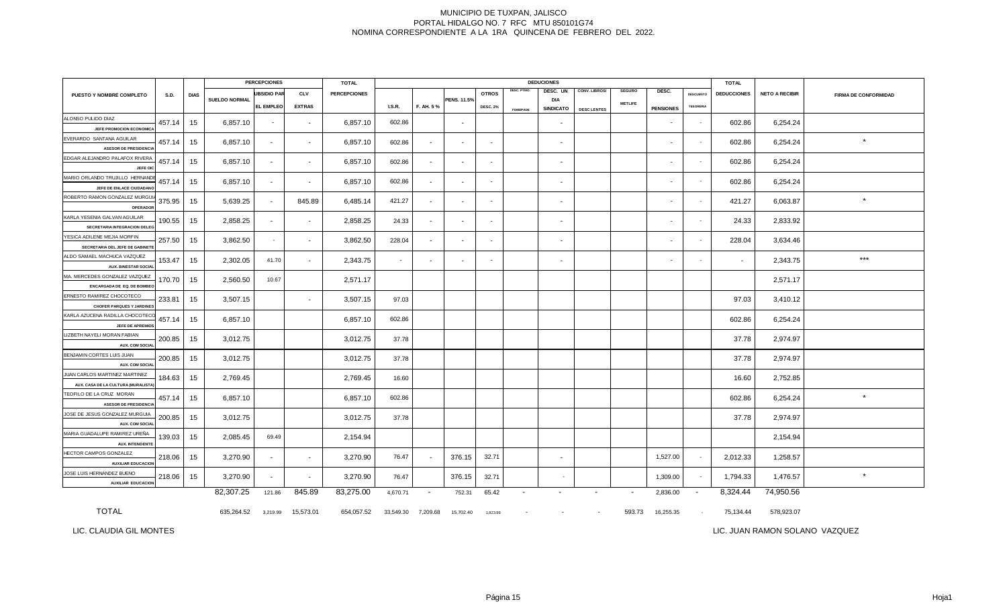| <b>PERCEPCIONES</b>                                                 |             |             | <b>TOTAL</b>  |                          |                |                     |               |                | <b>DEDUCIONES</b>        |                          |                 |                          |                    | <b>TOTAL</b>   |                          |                          |                          |                       |                             |
|---------------------------------------------------------------------|-------------|-------------|---------------|--------------------------|----------------|---------------------|---------------|----------------|--------------------------|--------------------------|-----------------|--------------------------|--------------------|----------------|--------------------------|--------------------------|--------------------------|-----------------------|-----------------------------|
| PUESTO Y NOMBRE COMPLETO                                            | <b>S.D.</b> | <b>DIAS</b> |               | <b>UBSIDIO PAR</b>       | <b>CLV</b>     | <b>PERCEPCIONES</b> |               |                |                          | <b>OTROS</b>             | DESC. PTMO.     | DESC. UN                 | CONV. LIBROS/      | <b>SEGURO</b>  | DESC.                    | DESCUENTO                | <b>DEDUCCIONES</b>       | <b>NETO A RECIBIR</b> | <b>FIRMA DE CONFORMIDAD</b> |
|                                                                     |             |             | SUELDO NORMAL | <b>EL EMPLEO</b>         | <b>EXTRAS</b>  |                     | <b>I.S.R.</b> | F. AH. 5%      | PENS. 11.5%              | <b>DESC. 2%</b>          | <b>FOMEPADE</b> | DIA<br><b>SINDICATO</b>  | <b>DESC LENTES</b> | <b>METLIFE</b> | <b>PENSIONES</b>         | <b>TESORERIA</b>         |                          |                       |                             |
| ALONSO PULIDO DIAZ<br>JEFE PROMOCION ECONOMIC.                      | 457.14      | 15          | 6,857.10      | $\overline{\phantom{a}}$ | $\sim$         | 6,857.10            | 602.86        |                |                          |                          |                 | $\sim$                   |                    |                |                          | $\sim$                   | 602.86                   | 6,254.24              |                             |
| EVERARDO SANTANA AGUILAR<br><b>ASESOR DE PRESIDENCIA</b>            | 457.14      | 15          | 6,857.10      | $\blacksquare$           | $\blacksquare$ | 6,857.10            | 602.86        |                |                          |                          |                 | $\sim$                   |                    |                |                          |                          | 602.86                   | 6,254.24              | $^\star$                    |
| EDGAR ALEJANDRO PALAFOX RIVERA                                      | 457.14      | 15          | 6,857.10      | $\sim$                   | $\sim$         | 6,857.10            | 602.86        | $\sim$         | $\overline{\phantom{a}}$ | $\sim$                   |                 | $\sim$                   |                    |                | $\sim$                   | $\sim$                   | 602.86                   | 6,254.24              |                             |
| JEFE OK<br>MARIO ORLANDO TRUJILLO HERNANDI                          | 457.14      | 15          | 6,857.10      | $\sim$                   | $\sim$         | 6,857.10            | 602.86        | $\sim$         |                          | $\sim$                   |                 | $\sim$                   |                    |                |                          | $\sim$                   | 602.86                   | 6,254.24              |                             |
| JEFE DE ENLACE CIUDADANO<br>ROBERTO RAMON GONZALEZ MURGU            | 375.95      | 15          | 5,639.25      | $\sim$                   | 845.89         | 6,485.14            | 421.27        | $\sim$         |                          |                          |                 | $\sim$                   |                    |                | $\overline{\phantom{a}}$ | $\sim$                   | 421.27                   | 6,063.87              | $\star$                     |
| <b>OPERADOR</b><br>KARLA YESENIA GALVAN AGUILAR                     | 190.55      | 15          | 2,858.25      | $\sim$                   | $\sim$         | 2,858.25            | 24.33         | $\sim$         | $\overline{a}$           | $\sim$                   |                 | $\sim$                   |                    |                | $\overline{\phantom{a}}$ | $\sim$                   | 24.33                    | 2,833.92              |                             |
| SECRETARIA INTEGRACION DELEG<br>YESICA ADILENE MEJIA MORFIN         | 257.50      | 15          | 3,862.50      | $\sim$                   | $\sim$         | 3,862.50            | 228.04        | $\blacksquare$ | $\overline{\phantom{a}}$ | $\sim$                   |                 | $\sim$                   |                    |                | $\overline{\phantom{a}}$ | $\sim$                   | 228.04                   | 3,634.46              |                             |
| SECRETARIA DEL JEFE DE GABINETI<br>ALDO SAMAEL MACHUCA VAZQUEZ      | 153.47      | 15          | 2,302.05      | 41.70                    | $\sim$         | 2,343.75            | $\sim$        | $\blacksquare$ |                          | $\overline{\phantom{a}}$ |                 | $\sim$                   |                    |                |                          | $\sim$                   | $\overline{\phantom{a}}$ | 2,343.75              | $***$                       |
| <b>AUX. BINESTAR SOCIAL</b><br>MA. MERCEDES GONZALEZ VAZQUEZ        | 170.70      | 15          | 2,560.50      | 10.67                    |                | 2,571.17            |               |                |                          |                          |                 |                          |                    |                |                          |                          |                          | 2,571.17              |                             |
| ENCARGADA DE EQ. DE BOMBEO<br>ERNESTO RAMIREZ CHOCOTECO             | 233.81      | 15          | 3,507.15      |                          | $\sim$         | 3,507.15            | 97.03         |                |                          |                          |                 |                          |                    |                |                          |                          | 97.03                    | 3,410.12              |                             |
| <b>CHOFER PARQUES Y JARDINES</b>                                    |             |             |               |                          |                |                     |               |                |                          |                          |                 |                          |                    |                |                          |                          |                          |                       |                             |
| KARLA AZUCENA RADILLA CHOCOTEC<br>JEFE DE APREMIOS                  | 457.14      | 15          | 6,857.10      |                          |                | 6,857.10            | 602.86        |                |                          |                          |                 |                          |                    |                |                          |                          | 602.86                   | 6,254.24              |                             |
| LIZBETH NAYELI MORAN FABIAN<br><b>AUX. COM SOCIA</b>                | 200.85      | 15          | 3,012.75      |                          |                | 3,012.75            | 37.78         |                |                          |                          |                 |                          |                    |                |                          |                          | 37.78                    | 2,974.97              |                             |
| BENJAMIN CORTES LUIS JUAN<br><b>AUX. COM SOCIAL</b>                 | 200.85      | 15          | 3,012.75      |                          |                | 3,012.75            | 37.78         |                |                          |                          |                 |                          |                    |                |                          |                          | 37.78                    | 2,974.97              |                             |
| JUAN CARLOS MARTINEZ MARTINEZ<br>AUX. CASA DE LA CULTURA (MURALISTA | 184.63      | 15          | 2,769.45      |                          |                | 2,769.45            | 16.60         |                |                          |                          |                 |                          |                    |                |                          |                          | 16.60                    | 2,752.85              |                             |
| TEOFILO DE LA CRUZ MORAN<br><b>ASESOR DE PRESIDENCIA</b>            | 457.14      | 15          | 6,857.10      |                          |                | 6,857.10            | 602.86        |                |                          |                          |                 |                          |                    |                |                          |                          | 602.86                   | 6,254.24              | $\star$                     |
| JOSE DE JESUS GONZALEZ MURGUIA<br><b>AUX. COM SOCIAL</b>            | 200.85      | 15          | 3,012.75      |                          |                | 3,012.75            | 37.78         |                |                          |                          |                 |                          |                    |                |                          |                          | 37.78                    | 2,974.97              |                             |
| MARIA GUADALUPE RAMIREZ UREÑA<br><b>AUX. INTENDENTE</b>             | 139.03      | 15          | 2,085.45      | 69.49                    |                | 2,154.94            |               |                |                          |                          |                 |                          |                    |                |                          |                          |                          | 2,154.94              |                             |
| HECTOR CAMPOS GONZALEZ<br><b>AUXILIAR EDUCACION</b>                 | 218.06      | 15          | 3,270.90      | $\sim$                   | $\sim$         | 3,270.90            | 76.47         |                | 376.15                   | 32.71                    |                 | $\sim$                   |                    |                | 1,527.00                 | $\sim$                   | 2,012.33                 | 1,258.57              |                             |
| JOSE LUIS HERNANDEZ BUENO<br><b>AUXILIAR EDUCACION</b>              | 218.06      | 15          | 3,270.90      | $\sim$                   | $\sim$         | 3,270.90            | 76.47         |                | 376.15                   | 32.71                    |                 | $\overline{\phantom{a}}$ |                    |                | 1,309.00                 | $\sim$                   | 1,794.33                 | 1,476.57              | $\star$                     |
|                                                                     |             |             | 82,307.25     | 121.86                   | 845.89         | 83,275.00           | 4,670.71      | $\sim$         | 752.31                   | 65.42                    | $\sim$          | $\overline{\phantom{a}}$ |                    | $\blacksquare$ | 2,836.00                 | $\overline{\phantom{a}}$ | 8,324.44                 | 74,950.56             |                             |
| <b>TOTAL</b>                                                        |             |             | 635,264.52    | 3,219.99                 | 15,573.01      | 654,057.52          | 33,549.30     | 7,209.68       | 15,702.40                | 1,823.99                 |                 |                          |                    | 593.73         | 16,255.35                |                          | 75,134.44                | 578,923.07            |                             |

LIC. CLAUDIA GIL MONTES

LIC. JUAN RAMON SOLANO VAZQUEZ